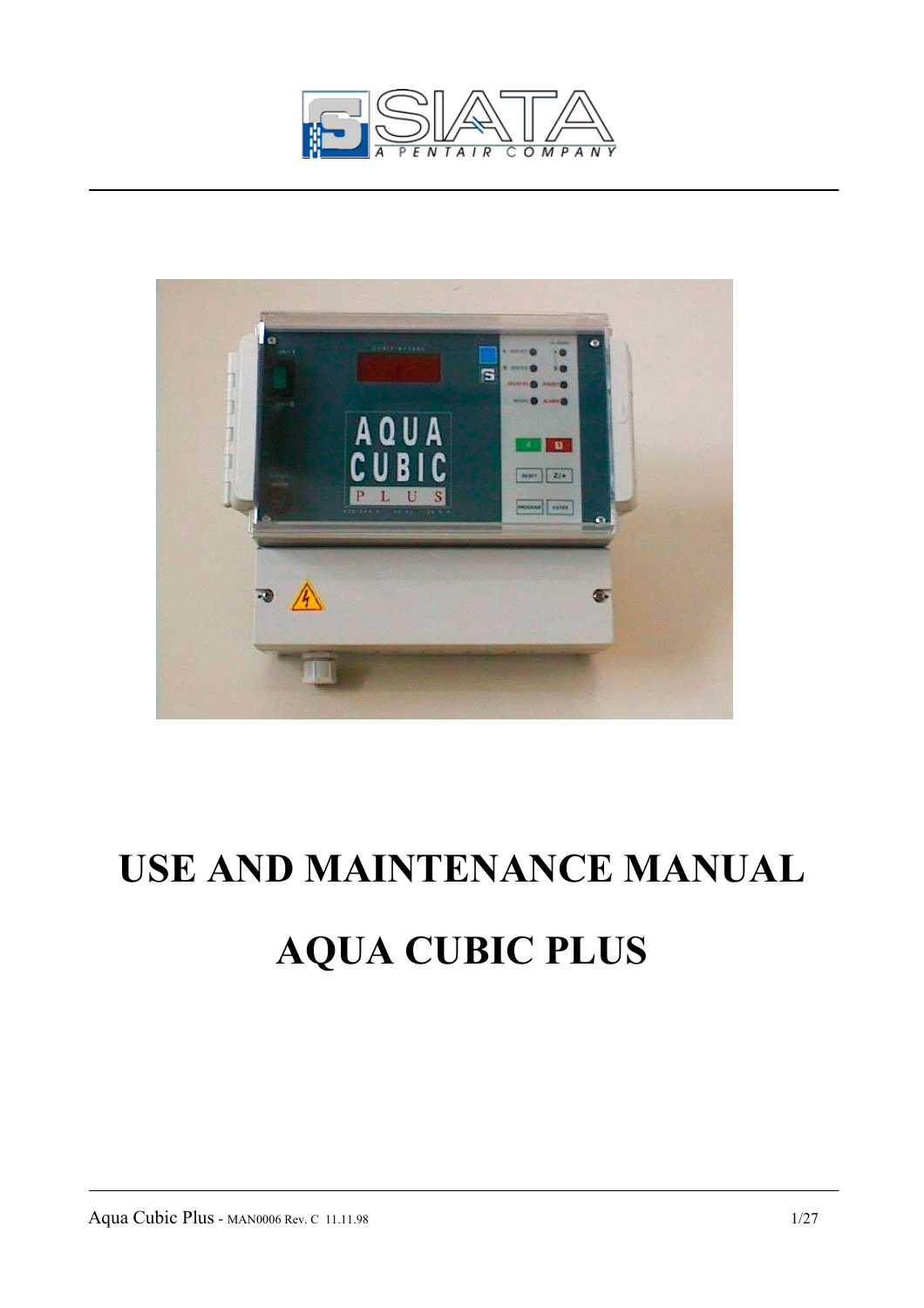



# **USE AND MAINTENANCE MANUAL AQUA CUBIC PLUS**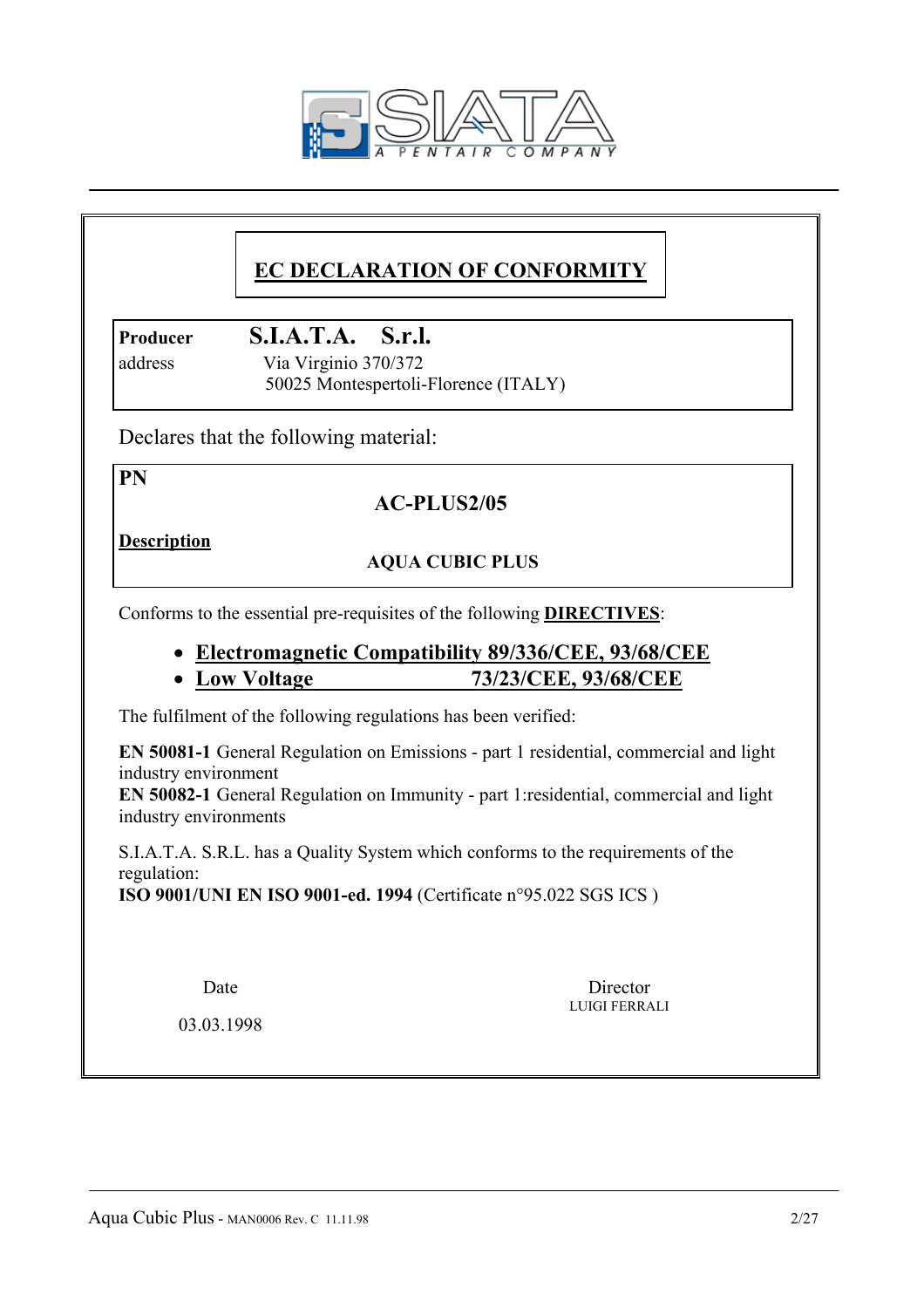

# **EC DECLARATION OF CONFORMITY**

# **Producer S.I.A.T.A. S.r.l.**

 address Via Virginio 370/372 50025 Montespertoli-Florence (ITALY)

Declares that the following material:

**PN** 

# **AC-PLUS2/05**

**Description**

# **AQUA CUBIC PLUS**

Conforms to the essential pre-requisites of the following **DIRECTIVES**:

- **Electromagnetic Compatibility 89/336/CEE, 93/68/CEE**
- **Low Voltage 73/23/CEE, 93/68/CEE**

The fulfilment of the following regulations has been verified:

**EN 50081-1** General Regulation on Emissions - part 1 residential, commercial and light industry environment

**EN 50082-1** General Regulation on Immunity - part 1:residential, commercial and light industry environments

LUIGI FERRALI

 S.I.A.T.A. S.R.L. has a Quality System which conforms to the requirements of the regulation:

**ISO 9001/UNI EN ISO 9001-ed. 1994** (Certificate n°95.022 SGS ICS )

Date Director

03.03.1998

Aqua Cubic Plus - MAN0006 Rev. C 11.11.98 2/27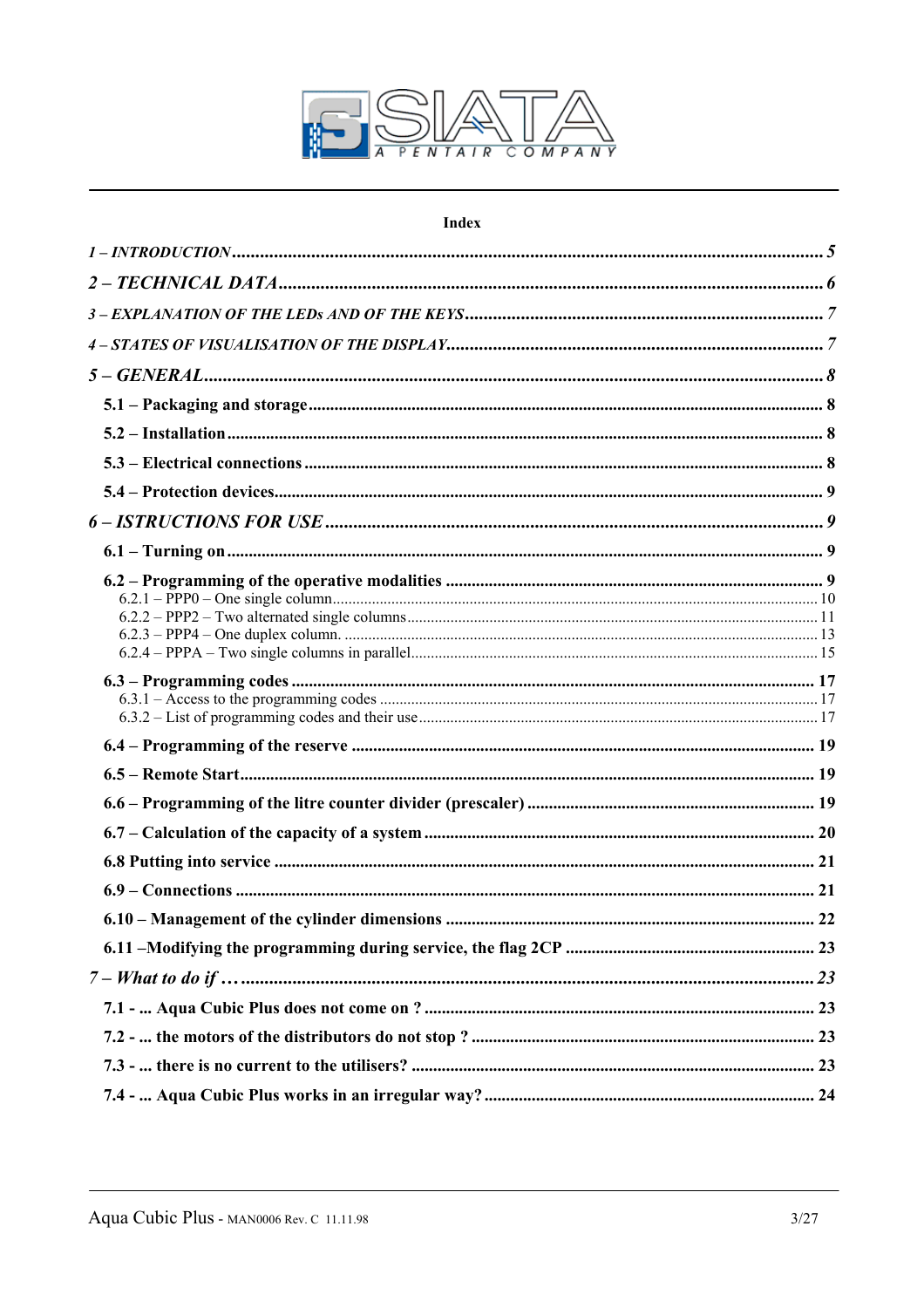

#### **Index**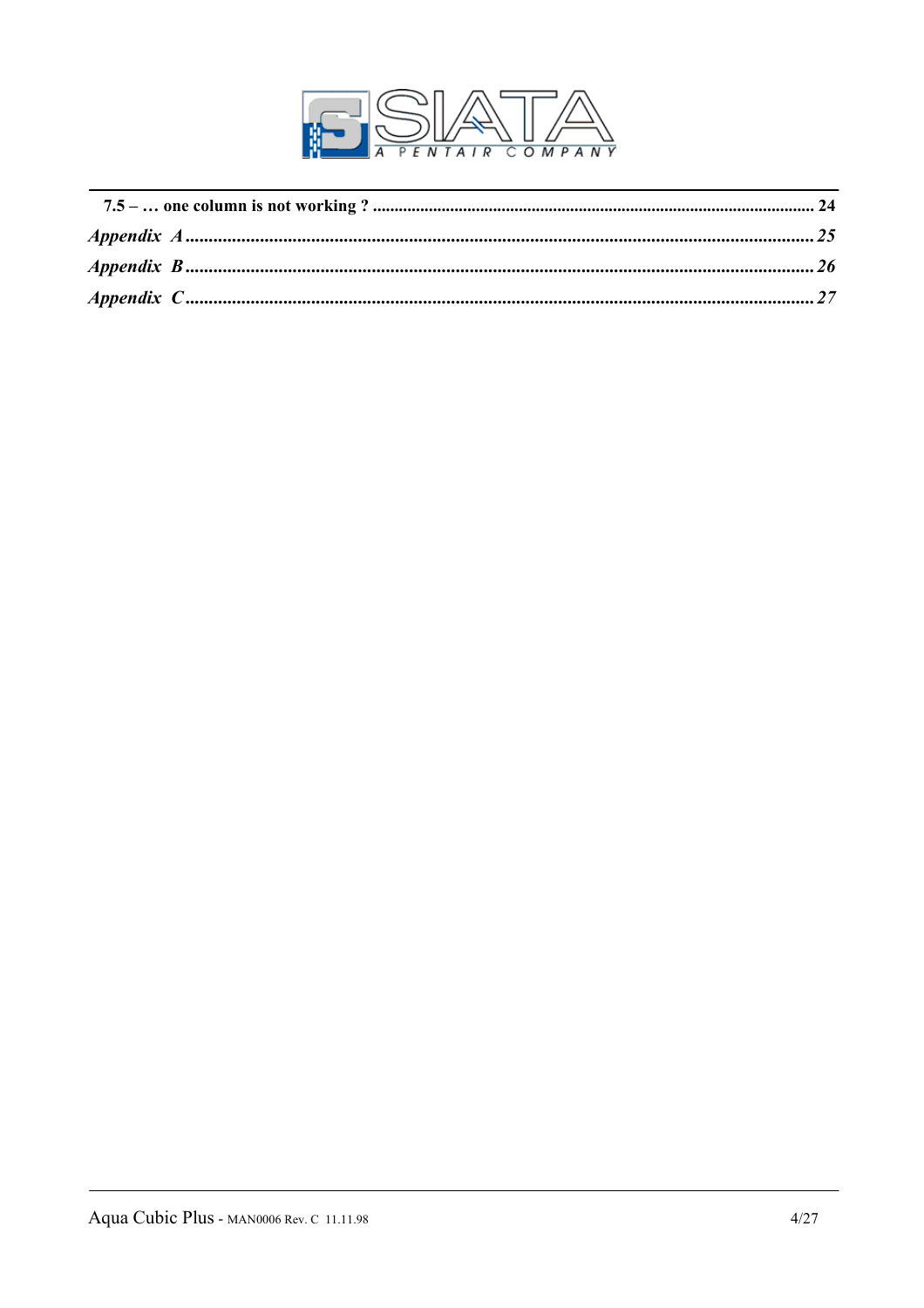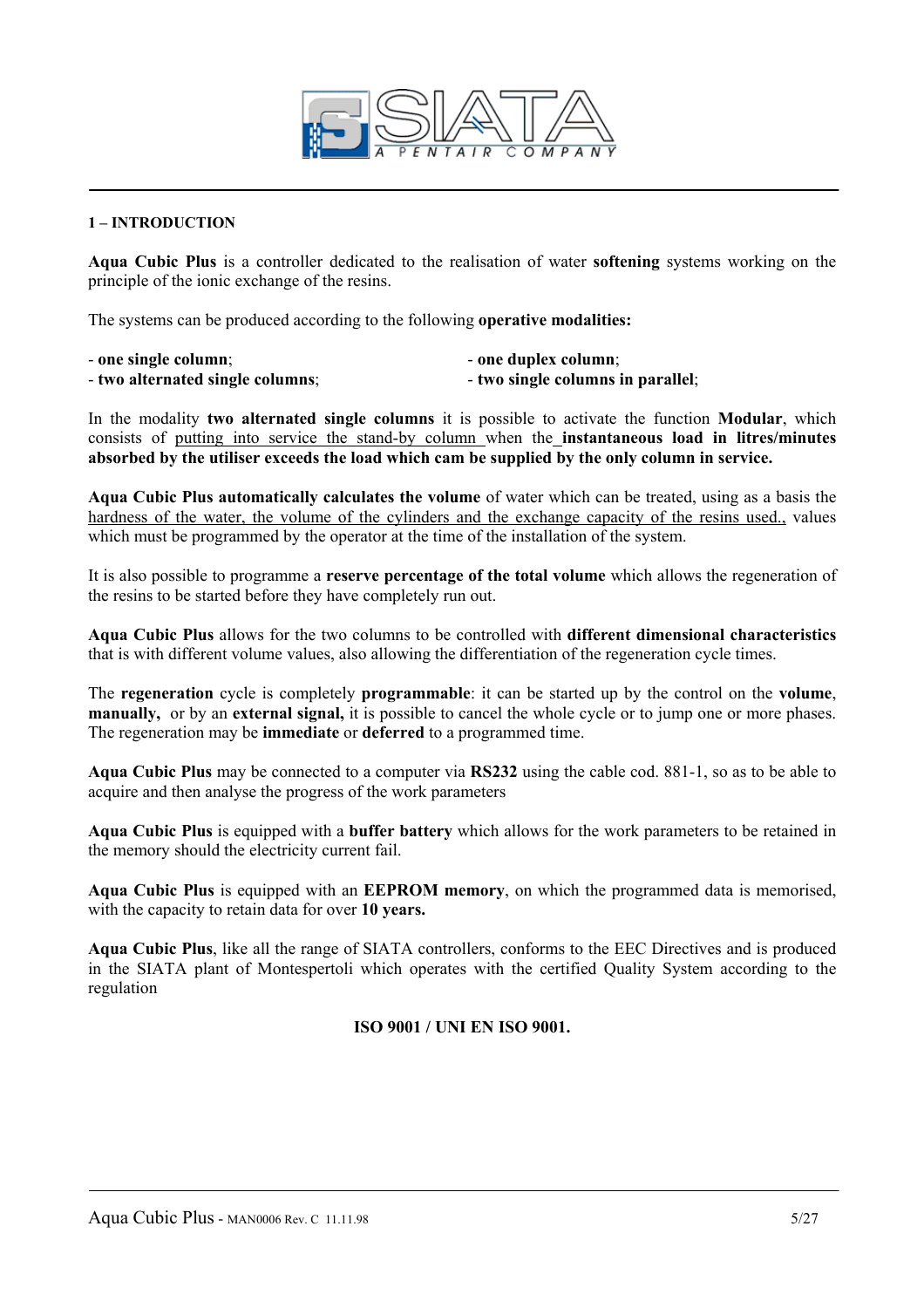

#### **1 – INTRODUCTION**

**Aqua Cubic Plus** is a controller dedicated to the realisation of water **softening** systems working on the principle of the ionic exchange of the resins.

The systems can be produced according to the following **operative modalities:** 

- 
- one single column;  $\qquad \qquad$  one duplex column; - **two alternated single columns**; - **two single columns in parallel**;
- In the modality **two alternated single columns** it is possible to activate the function **Modular**, which consists of putting into service the stand-by column when the **instantaneous load in litres/minutes**

**absorbed by the utiliser exceeds the load which cam be supplied by the only column in service.** 

**Aqua Cubic Plus automatically calculates the volume** of water which can be treated, using as a basis the hardness of the water, the volume of the cylinders and the exchange capacity of the resins used., values which must be programmed by the operator at the time of the installation of the system.

It is also possible to programme a **reserve percentage of the total volume** which allows the regeneration of the resins to be started before they have completely run out.

**Aqua Cubic Plus** allows for the two columns to be controlled with **different dimensional characteristics**  that is with different volume values, also allowing the differentiation of the regeneration cycle times.

The **regeneration** cycle is completely **programmable**: it can be started up by the control on the **volume**, **manually,** or by an **external signal,** it is possible to cancel the whole cycle or to jump one or more phases. The regeneration may be **immediate** or **deferred** to a programmed time.

**Aqua Cubic Plus** may be connected to a computer via **RS232** using the cable cod. 881-1, so as to be able to acquire and then analyse the progress of the work parameters

**Aqua Cubic Plus** is equipped with a **buffer battery** which allows for the work parameters to be retained in the memory should the electricity current fail.

**Aqua Cubic Plus** is equipped with an **EEPROM memory**, on which the programmed data is memorised, with the capacity to retain data for over **10 years.** 

**Aqua Cubic Plus**, like all the range of SIATA controllers, conforms to the EEC Directives and is produced in the SIATA plant of Montespertoli which operates with the certified Quality System according to the regulation

**ISO 9001 / UNI EN ISO 9001.**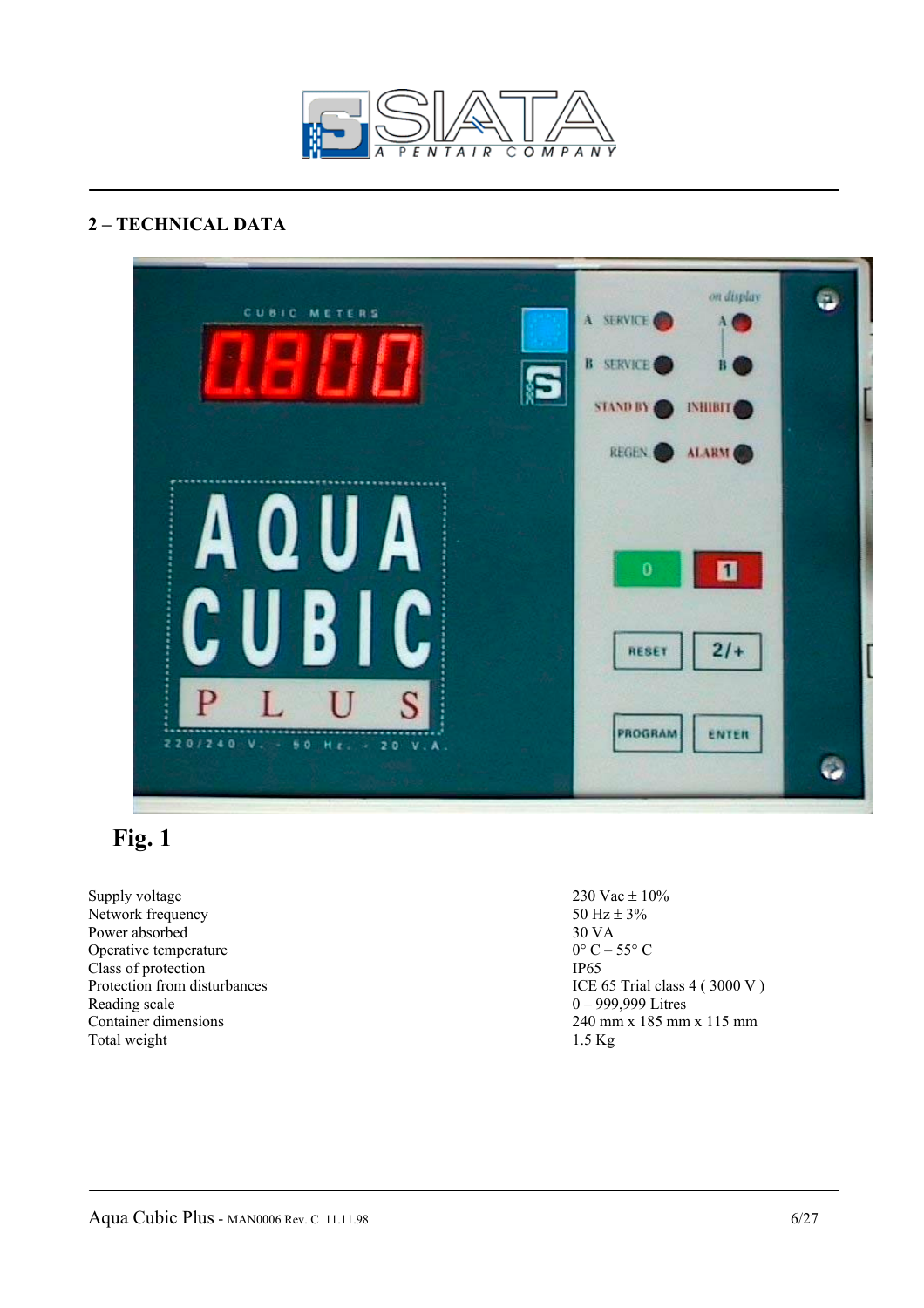

# **2 – TECHNICAL DATA**



# **Fig. 1**

Supply voltage  $230 \text{ Vac} \pm 10\%$ Network frequency 50 Hz  $\pm$  3%<br>Power absorbed 30 VA Power absorbed 30 VA<br>Operative temperature  $0^{\circ}C - 55^{\circ}C$ Operative temperature Class of protection<br>Protection from disturbances<br>ICE Reading scale 0 – 999,999 Litres<br>
Container dimensions 240 mm x 185 mm Total weight 1.5 Kg

ICE 65 Trial class  $4$  ( 3000 V ) 240 mm x 185 mm x 115 mm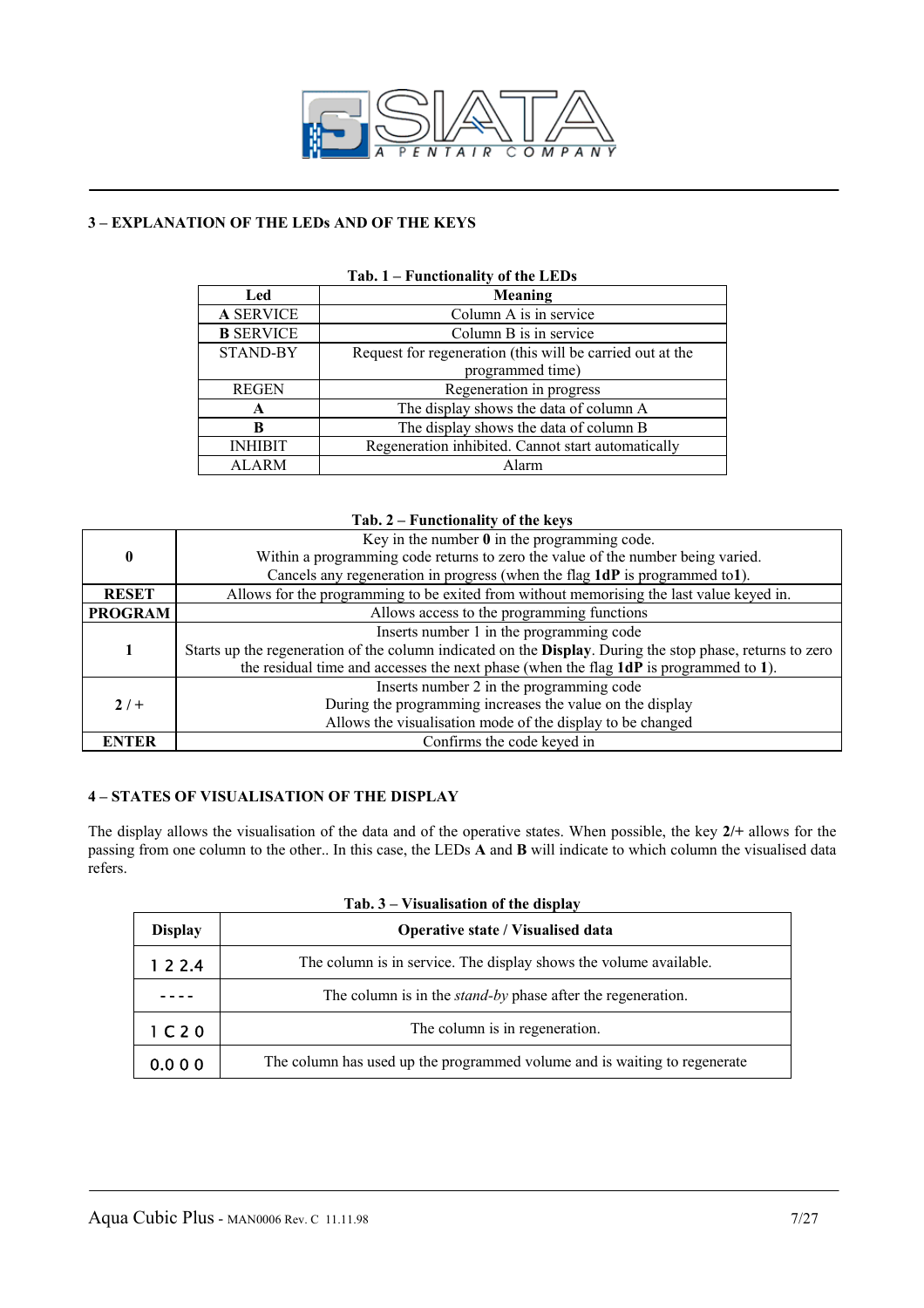

#### **3 – EXPLANATION OF THE LEDs AND OF THE KEYS**

| I anchomant, of the BBB's |                                                           |  |
|---------------------------|-----------------------------------------------------------|--|
| Led                       | Meaning                                                   |  |
| <b>A SERVICE</b>          | Column A is in service                                    |  |
| <b>B</b> SERVICE          | Column B is in service                                    |  |
| <b>STAND-BY</b>           | Request for regeneration (this will be carried out at the |  |
|                           | programmed time)                                          |  |
| <b>REGEN</b>              | Regeneration in progress                                  |  |
| A                         | The display shows the data of column A                    |  |
| B                         | The display shows the data of column B                    |  |
| <b>INHIBIT</b>            | Regeneration inhibited. Cannot start automatically        |  |
| <b>ALARM</b>              | Alarm                                                     |  |

#### **Tab. 1 – Functionality of the LEDs**

#### **Tab. 2 – Functionality of the keys**

| <b>ENTER</b>     | Confirms the code keyed in                                                                                |  |  |  |  |
|------------------|-----------------------------------------------------------------------------------------------------------|--|--|--|--|
|                  | Allows the visualisation mode of the display to be changed                                                |  |  |  |  |
| $2/+$            | During the programming increases the value on the display                                                 |  |  |  |  |
|                  | Inserts number 2 in the programming code                                                                  |  |  |  |  |
|                  | the residual time and accesses the next phase (when the flag 1dP is programmed to 1).                     |  |  |  |  |
|                  | Starts up the regeneration of the column indicated on the Display. During the stop phase, returns to zero |  |  |  |  |
|                  | Inserts number 1 in the programming code                                                                  |  |  |  |  |
| <b>PROGRAM</b>   | Allows access to the programming functions                                                                |  |  |  |  |
| <b>RESET</b>     | Allows for the programming to be exited from without memorising the last value keyed in.                  |  |  |  |  |
|                  | Cancels any regeneration in progress (when the flag 1dP is programmed to1).                               |  |  |  |  |
| $\boldsymbol{0}$ | Within a programming code returns to zero the value of the number being varied.                           |  |  |  |  |
|                  | Key in the number $\theta$ in the programming code.                                                       |  |  |  |  |

#### **4 – STATES OF VISUALISATION OF THE DISPLAY**

The display allows the visualisation of the data and of the operative states. When possible, the key **2/+** allows for the passing from one column to the other.. In this case, the LEDs **A** and **B** will indicate to which column the visualised data refers.

| <b>Display</b>                | Operative state / Visualised data                                         |  |  |
|-------------------------------|---------------------------------------------------------------------------|--|--|
| 1 2 2 4                       | The column is in service. The display shows the volume available.         |  |  |
|                               | The column is in the <i>stand-by</i> phase after the regeneration.        |  |  |
| 1 <sub>C</sub> 2 <sub>O</sub> | The column is in regeneration.                                            |  |  |
| 0.000                         | The column has used up the programmed volume and is waiting to regenerate |  |  |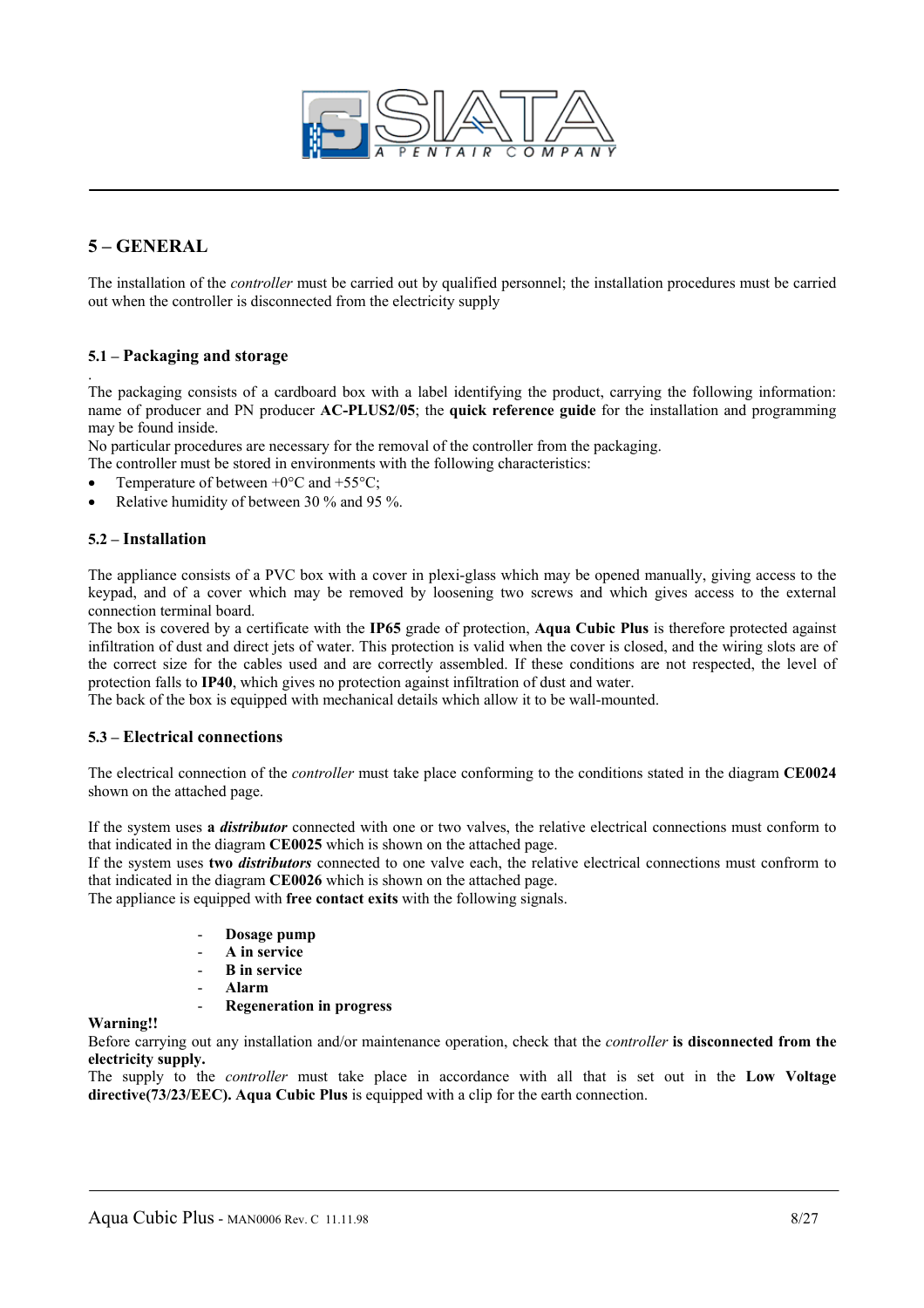

## **5 – GENERAL**

The installation of the *controller* must be carried out by qualified personnel; the installation procedures must be carried out when the controller is disconnected from the electricity supply

#### **5.1 – Packaging and storage**

. The packaging consists of a cardboard box with a label identifying the product, carrying the following information: name of producer and PN producer **AC-PLUS2/05**; the **quick reference guide** for the installation and programming may be found inside.

No particular procedures are necessary for the removal of the controller from the packaging.

The controller must be stored in environments with the following characteristics:

- Temperature of between  $+0$ °C and  $+55$ °C;
- Relative humidity of between 30 % and 95 %.

#### **5.2 – Installation**

The appliance consists of a PVC box with a cover in plexi-glass which may be opened manually, giving access to the keypad, and of a cover which may be removed by loosening two screws and which gives access to the external connection terminal board.

The box is covered by a certificate with the **IP65** grade of protection, **Aqua Cubic Plus** is therefore protected against infiltration of dust and direct jets of water. This protection is valid when the cover is closed, and the wiring slots are of the correct size for the cables used and are correctly assembled. If these conditions are not respected, the level of protection falls to **IP40**, which gives no protection against infiltration of dust and water.

The back of the box is equipped with mechanical details which allow it to be wall-mounted.

#### **5.3 – Electrical connections**

The electrical connection of the *controller* must take place conforming to the conditions stated in the diagram **CE0024** shown on the attached page.

If the system uses **a** *distributor* connected with one or two valves, the relative electrical connections must conform to that indicated in the diagram **CE0025** which is shown on the attached page.

If the system uses **two** *distributors* connected to one valve each, the relative electrical connections must confrorm to that indicated in the diagram **CE0026** which is shown on the attached page.

The appliance is equipped with **free contact exits** with the following signals.

- **Dosage pump**
- **A in service**
- **B in service**
- **Alarm**

**Warning!!** 

- **Regeneration in progress** 

Before carrying out any installation and/or maintenance operation, check that the *controller* **is disconnected from the electricity supply.** 

The supply to the *controller* must take place in accordance with all that is set out in the **Low Voltage directive(73/23/EEC). Aqua Cubic Plus** is equipped with a clip for the earth connection.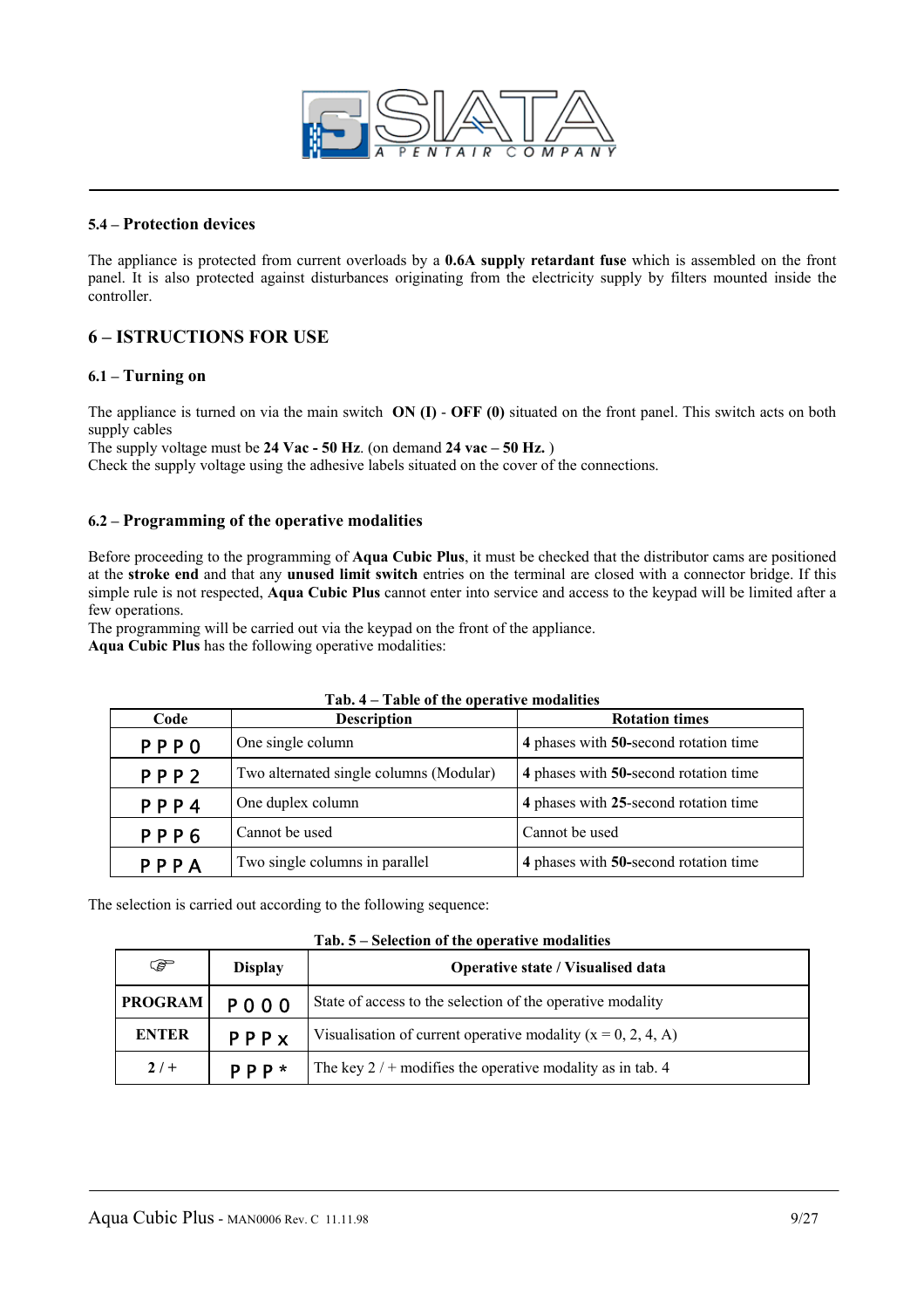

#### **5.4 – Protection devices**

The appliance is protected from current overloads by a **0.6A supply retardant fuse** which is assembled on the front panel. It is also protected against disturbances originating from the electricity supply by filters mounted inside the controller.

## **6 – ISTRUCTIONS FOR USE**

#### **6.1 – Turning on**

The appliance is turned on via the main switch **ON (I)** - **OFF (0)** situated on the front panel. This switch acts on both supply cables

The supply voltage must be **24 Vac - 50 Hz**. (on demand **24 vac – 50 Hz.** )

Check the supply voltage using the adhesive labels situated on the cover of the connections.

#### **6.2 – Programming of the operative modalities**

Before proceeding to the programming of **Aqua Cubic Plus**, it must be checked that the distributor cams are positioned at the **stroke end** and that any **unused limit switch** entries on the terminal are closed with a connector bridge. If this simple rule is not respected, **Aqua Cubic Plus** cannot enter into service and access to the keypad will be limited after a few operations.

The programming will be carried out via the keypad on the front of the appliance.

**Aqua Cubic Plus** has the following operative modalities:

| Code                   | <b>Description</b>                                                               | <b>Rotation times</b>                 |
|------------------------|----------------------------------------------------------------------------------|---------------------------------------|
| <b>PPPO</b>            | One single column                                                                | 4 phases with 50-second rotation time |
| PPP <sub>2</sub>       | Two alternated single columns (Modular)<br>4 phases with 50-second rotation time |                                       |
| PPP4                   | One duplex column                                                                | 4 phases with 25-second rotation time |
| Cannot be used<br>PPP6 |                                                                                  | Cannot be used                        |
| PPPA                   | Two single columns in parallel                                                   | 4 phases with 50-second rotation time |

#### **Tab. 4 – Table of the operative modalities**

The selection is carried out according to the following sequence:

**Tab. 5 – Selection of the operative modalities** 

| ক্লে           | <b>Display</b> | <b>Operative state / Visualised data</b>                       |
|----------------|----------------|----------------------------------------------------------------|
| <b>PROGRAM</b> | <b>POOO</b>    | State of access to the selection of the operative modality     |
| <b>ENTER</b>   | PPPX           | Visualisation of current operative modality $(x = 0, 2, 4, A)$ |
| $2/$ +         | P P P          | The key $2/$ + modifies the operative modality as in tab. 4    |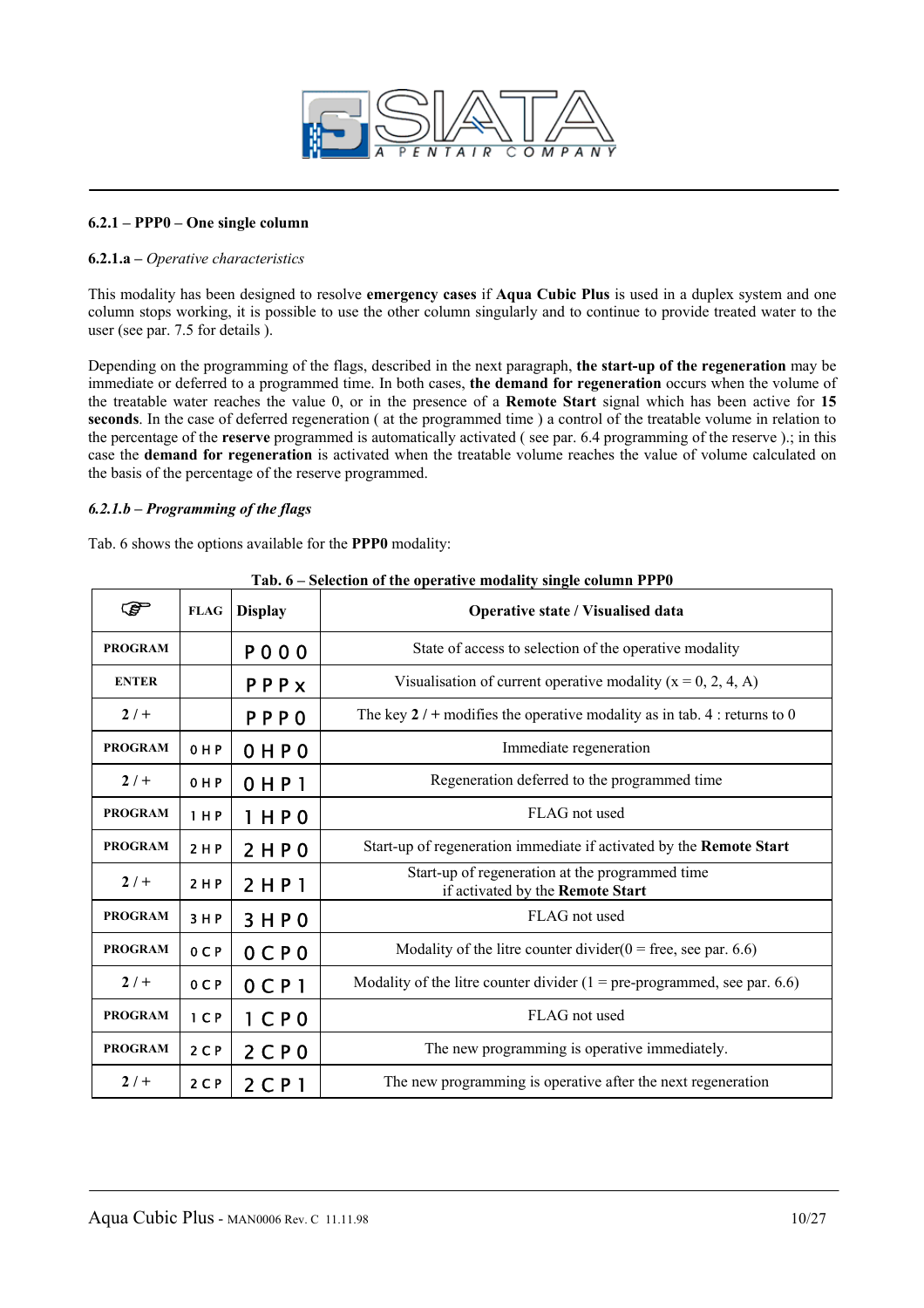

#### **6.2.1 – PPP0 – One single column**

#### **6.2.1.a –** *Operative characteristics*

This modality has been designed to resolve **emergency cases** if **Aqua Cubic Plus** is used in a duplex system and one column stops working, it is possible to use the other column singularly and to continue to provide treated water to the user (see par. 7.5 for details ).

Depending on the programming of the flags, described in the next paragraph, **the start-up of the regeneration** may be immediate or deferred to a programmed time. In both cases, **the demand for regeneration** occurs when the volume of the treatable water reaches the value 0, or in the presence of a **Remote Start** signal which has been active for **15 seconds**. In the case of deferred regeneration ( at the programmed time ) a control of the treatable volume in relation to the percentage of the **reserve** programmed is automatically activated ( see par. 6.4 programming of the reserve ).; in this case the **demand for regeneration** is activated when the treatable volume reaches the value of volume calculated on the basis of the percentage of the reserve programmed.

#### *6.2.1.b – Programming of the flags*

Tab. 6 shows the options available for the **PPP0** modality:

| ☞              | <b>FLAG</b>    | <b>Display</b>      | Operative state / Visualised data                                                   |
|----------------|----------------|---------------------|-------------------------------------------------------------------------------------|
| <b>PROGRAM</b> |                | P000                | State of access to selection of the operative modality                              |
| <b>ENTER</b>   |                | PPPX                | Visualisation of current operative modality $(x = 0, 2, 4, A)$                      |
| $2/+$          |                | <b>PPPO</b>         | The key $2/$ + modifies the operative modality as in tab. 4 : returns to 0          |
| <b>PROGRAM</b> | 0 H P          | OHPO                | Immediate regeneration                                                              |
| $2/+$          | 0 H P          | $0$ HP <sub>1</sub> | Regeneration deferred to the programmed time                                        |
| <b>PROGRAM</b> | 1 H P          | 1 H P 0             | FLAG not used                                                                       |
| <b>PROGRAM</b> | 2 H P          | 2 H P 0             | Start-up of regeneration immediate if activated by the Remote Start                 |
| $2/+$          | 2 H P          | 2 HPI               | Start-up of regeneration at the programmed time<br>if activated by the Remote Start |
| <b>PROGRAM</b> | 3 H P          | 3HP0                | FLAG not used                                                                       |
| <b>PROGRAM</b> | 0 C P          | $0$ CPO             | Modality of the litre counter divider $(0 =$ free, see par. 6.6)                    |
| $2/ +$         | 0 C P          | $0$ CP <sub>1</sub> | Modality of the litre counter divider $(1 = pre-programmed, see par. 6.6)$          |
| <b>PROGRAM</b> | 1 <sub>C</sub> | $1$ CP <sub>0</sub> | FLAG not used                                                                       |
| <b>PROGRAM</b> | 2 <sub>C</sub> | 2CP0                | The new programming is operative immediately.                                       |
| $2/ +$         | 2 <sub>C</sub> | 2 C P 1             | The new programming is operative after the next regeneration                        |

|  | Tab. 6 – Selection of the operative modality single column PPP0 |
|--|-----------------------------------------------------------------|
|--|-----------------------------------------------------------------|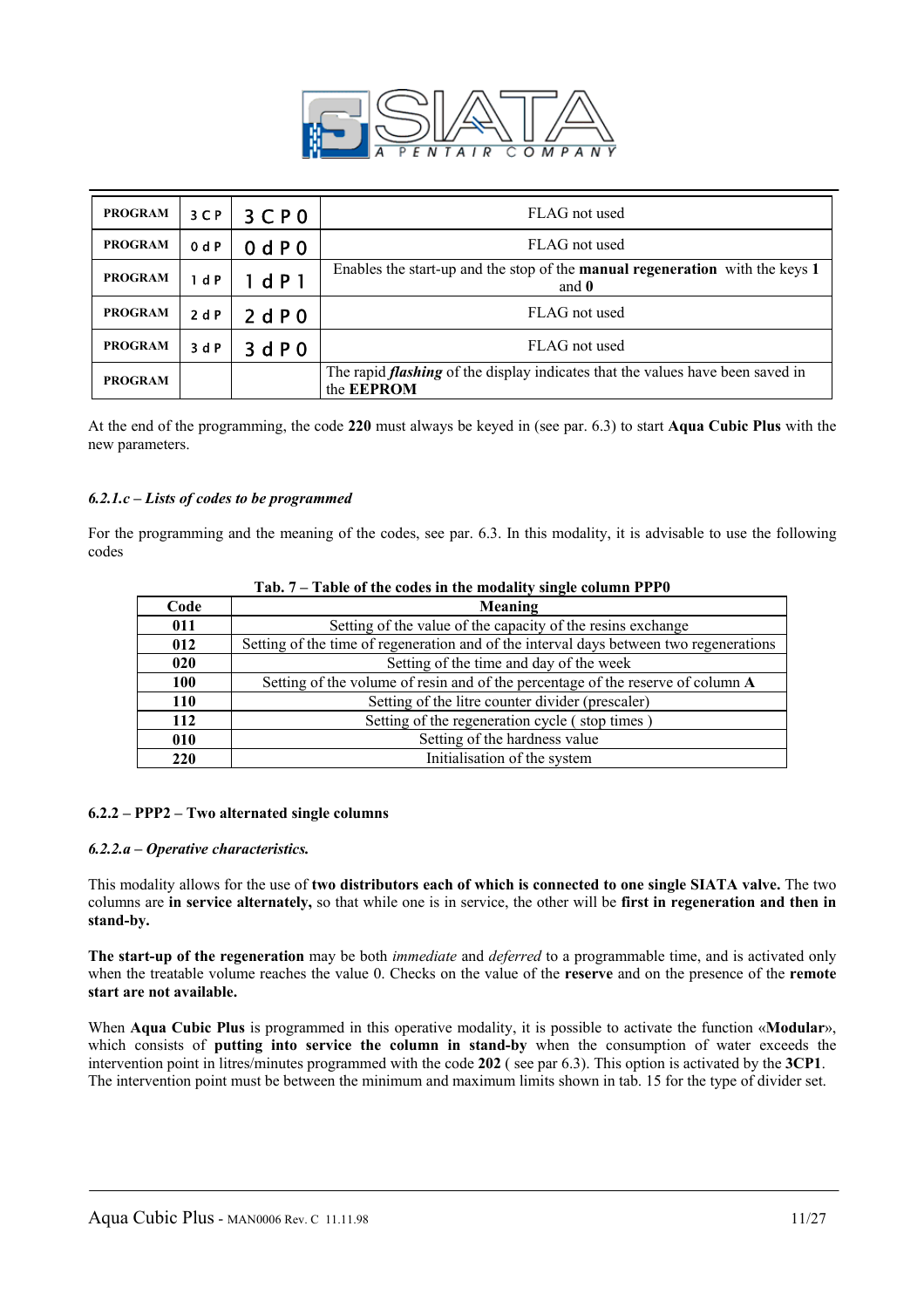

| <b>PROGRAM</b> | 3 <sup>C</sup> | 3CP0  | FLAG not used                                                                                              |
|----------------|----------------|-------|------------------------------------------------------------------------------------------------------------|
| <b>PROGRAM</b> | 0 dP           | 0 dP0 | FLAG not used                                                                                              |
| <b>PROGRAM</b> | 1 dP           | 1 dP1 | Enables the start-up and the stop of the <b>manual regeneration</b> with the keys 1<br>and $\mathbf{0}$    |
| <b>PROGRAM</b> | 2 dP           | 2 dP0 | FLAG not used                                                                                              |
| <b>PROGRAM</b> | 3 d P          | 3 dP0 | FLAG not used                                                                                              |
| <b>PROGRAM</b> |                |       | The rapid <i>flashing</i> of the display indicates that the values have been saved in<br>the <b>EEPROM</b> |

At the end of the programming, the code **220** must always be keyed in (see par. 6.3) to start **Aqua Cubic Plus** with the new parameters.

#### *6.2.1.c – Lists of codes to be programmed*

For the programming and the meaning of the codes, see par. 6.3. In this modality, it is advisable to use the following codes

| . ам. 1<br>Table of the could in the modality single column TTT 0 |                                                                                        |  |  |
|-------------------------------------------------------------------|----------------------------------------------------------------------------------------|--|--|
| Code                                                              | Meaning                                                                                |  |  |
| 011                                                               | Setting of the value of the capacity of the resins exchange                            |  |  |
| 012                                                               | Setting of the time of regeneration and of the interval days between two regenerations |  |  |
| 020                                                               | Setting of the time and day of the week                                                |  |  |
| 100                                                               | Setting of the volume of resin and of the percentage of the reserve of column A        |  |  |
| 110                                                               | Setting of the litre counter divider (prescaler)                                       |  |  |
| 112                                                               | Setting of the regeneration cycle (stop times)                                         |  |  |
| 010                                                               | Setting of the hardness value                                                          |  |  |
| <b>220</b>                                                        | Initialisation of the system                                                           |  |  |

#### **Tab. 7 – Table of the codes in the modality single column PPP0**

#### **6.2.2 – PPP2 – Two alternated single columns**

#### *6.2.2.a – Operative characteristics.*

This modality allows for the use of **two distributors each of which is connected to one single SIATA valve.** The two columns are **in service alternately,** so that while one is in service, the other will be **first in regeneration and then in stand-by.** 

**The start-up of the regeneration** may be both *immediate* and *deferred* to a programmable time, and is activated only when the treatable volume reaches the value 0. Checks on the value of the **reserve** and on the presence of the **remote start are not available.** 

When **Aqua Cubic Plus** is programmed in this operative modality, it is possible to activate the function «**Modular**», which consists of **putting into service the column in stand-by** when the consumption of water exceeds the intervention point in litres/minutes programmed with the code **202** ( see par 6.3). This option is activated by the **3CP1**. The intervention point must be between the minimum and maximum limits shown in tab. 15 for the type of divider set.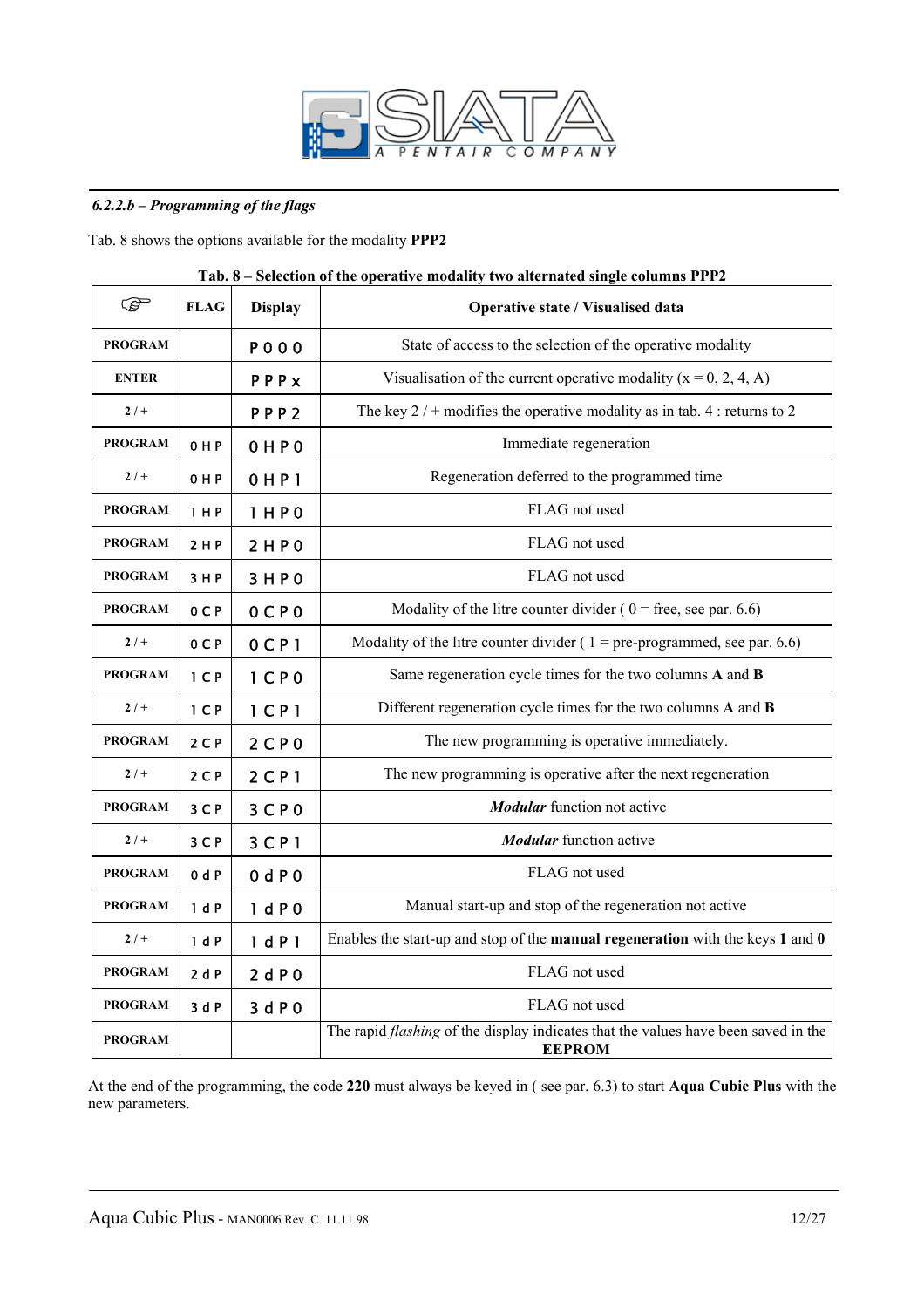

#### *6.2.2.b – Programming of the flags*

Tab. 8 shows the options available for the modality **PPP2** 

| <b>P</b>       | <b>FLAG</b>    | <b>Display</b>      | $\alpha$ , and the operator modulity two and mater single columns 1 1 1 $\alpha$<br>Operative state / Visualised data |
|----------------|----------------|---------------------|-----------------------------------------------------------------------------------------------------------------------|
| <b>PROGRAM</b> |                | <b>POOO</b>         | State of access to the selection of the operative modality                                                            |
| <b>ENTER</b>   |                | PPPx                | Visualisation of the current operative modality $(x = 0, 2, 4, A)$                                                    |
| $2/+$          |                | PPP <sub>2</sub>    | The key $2/$ + modifies the operative modality as in tab. 4 : returns to 2                                            |
| <b>PROGRAM</b> | 0 H P          | 0 H P 0             | Immediate regeneration                                                                                                |
| $2/+$          | 0 H P          | 0 H P1              | Regeneration deferred to the programmed time                                                                          |
| <b>PROGRAM</b> | 1 H P          | 1 H P 0             | FLAG not used                                                                                                         |
| <b>PROGRAM</b> | 2 H P          | 2HP0                | FLAG not used                                                                                                         |
| <b>PROGRAM</b> | 3 H P          | 3HP0                | FLAG not used                                                                                                         |
| <b>PROGRAM</b> | 0 <sub>C</sub> | $0C$ $0C$           | Modality of the litre counter divider ( $0 =$ free, see par. 6.6)                                                     |
| $2/+$          | 0 <sub>C</sub> | $0$ CP <sub>1</sub> | Modality of the litre counter divider ( $1 = pre$ -programmed, see par. 6.6)                                          |
| <b>PROGRAM</b> | 1 <sup>C</sup> | 1 <sup>°</sup>      | Same regeneration cycle times for the two columns A and B                                                             |
| $2/+$          | 1 <sub>C</sub> | $1$ C P $1$         | Different regeneration cycle times for the two columns A and B                                                        |
| <b>PROGRAM</b> | $2C$ P         | 2CP0                | The new programming is operative immediately.                                                                         |
| $2/+$          | $2C$ P         | $2$ C P 1           | The new programming is operative after the next regeneration                                                          |
| <b>PROGRAM</b> | 3 C P          | 3 <sup>C</sup> P 0  | <b>Modular</b> function not active                                                                                    |
| $2/+$          | 3 C P          | 3 <sup>C</sup>      | <b>Modular</b> function active                                                                                        |
| <b>PROGRAM</b> | 0 dP           | 0 dP0               | FLAG not used                                                                                                         |
| <b>PROGRAM</b> | 1 dP           | 1 dP0               | Manual start-up and stop of the regeneration not active                                                               |
| $2/+$          | 1 dP           | 1 dP1               | Enables the start-up and stop of the manual regeneration with the keys $1$ and $0$                                    |
| <b>PROGRAM</b> | 2dP            | 2 dP0               | FLAG not used                                                                                                         |
| <b>PROGRAM</b> | 3dP            | 3 d P 0             | FLAG not used                                                                                                         |
| <b>PROGRAM</b> |                |                     | The rapid <i>flashing</i> of the display indicates that the values have been saved in the<br><b>EEPROM</b>            |

#### **Tab. 8 – Selection of the operative modality two alternated single columns PPP2**

At the end of the programming, the code **220** must always be keyed in ( see par. 6.3) to start **Aqua Cubic Plus** with the new parameters.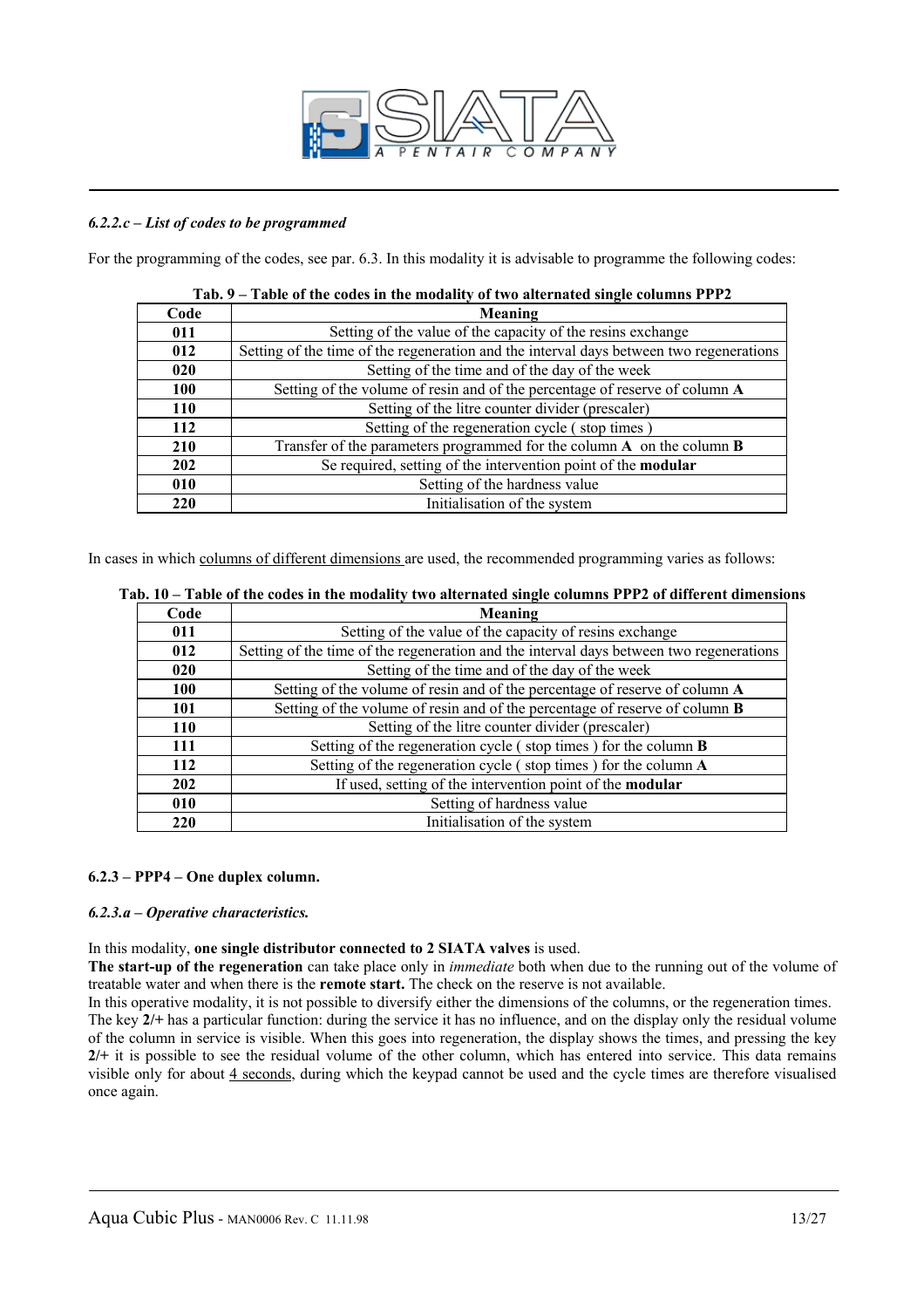

#### *6.2.2.c – List of codes to be programmed*

For the programming of the codes, see par. 6.3. In this modality it is advisable to programme the following codes:

| Code       | Meaning                                                                                 |
|------------|-----------------------------------------------------------------------------------------|
| 011        | Setting of the value of the capacity of the resins exchange                             |
| 012        | Setting of the time of the regeneration and the interval days between two regenerations |
| 020        | Setting of the time and of the day of the week                                          |
| <b>100</b> | Setting of the volume of resin and of the percentage of reserve of column A             |
| <b>110</b> | Setting of the litre counter divider (prescaler)                                        |
| 112        | Setting of the regeneration cycle (stop times)                                          |
| 210        | Transfer of the parameters programmed for the column $A$ on the column $B$              |
| <b>202</b> | Se required, setting of the intervention point of the <b>modular</b>                    |
| 010        | Setting of the hardness value                                                           |
| 220        | Initialisation of the system                                                            |

#### **Tab. 9 – Table of the codes in the modality of two alternated single columns PPP2**

In cases in which columns of different dimensions are used, the recommended programming varies as follows:

| Table of the couls in the modality two alternated single columns I I I 2 of uniterent unifersion |  |  |  |  |
|--------------------------------------------------------------------------------------------------|--|--|--|--|
| Meaning                                                                                          |  |  |  |  |
| Setting of the value of the capacity of resins exchange                                          |  |  |  |  |
| Setting of the time of the regeneration and the interval days between two regenerations          |  |  |  |  |
| Setting of the time and of the day of the week<br>020                                            |  |  |  |  |
| Setting of the volume of resin and of the percentage of reserve of column A                      |  |  |  |  |
| Setting of the volume of resin and of the percentage of reserve of column <b>B</b>               |  |  |  |  |
| Setting of the litre counter divider (prescaler)                                                 |  |  |  |  |
| Setting of the regeneration cycle (stop times) for the column <b>B</b>                           |  |  |  |  |
| Setting of the regeneration cycle (stop times) for the column A                                  |  |  |  |  |
| If used, setting of the intervention point of the modular                                        |  |  |  |  |
| Setting of hardness value                                                                        |  |  |  |  |
| Initialisation of the system                                                                     |  |  |  |  |
|                                                                                                  |  |  |  |  |

## **Tab. 10 – Table of the codes in the modality two alternated single columns PPP2 of different dimensions**

#### **6.2.3 – PPP4 – One duplex column.**

#### *6.2.3.a – Operative characteristics.*

#### In this modality, **one single distributor connected to 2 SIATA valves** is used.

**The start-up of the regeneration** can take place only in *immediate* both when due to the running out of the volume of treatable water and when there is the **remote start.** The check on the reserve is not available.

In this operative modality, it is not possible to diversify either the dimensions of the columns, or the regeneration times. The key **2/+** has a particular function: during the service it has no influence, and on the display only the residual volume of the column in service is visible. When this goes into regeneration, the display shows the times, and pressing the key **2/+** it is possible to see the residual volume of the other column, which has entered into service. This data remains visible only for about 4 seconds, during which the keypad cannot be used and the cycle times are therefore visualised once again.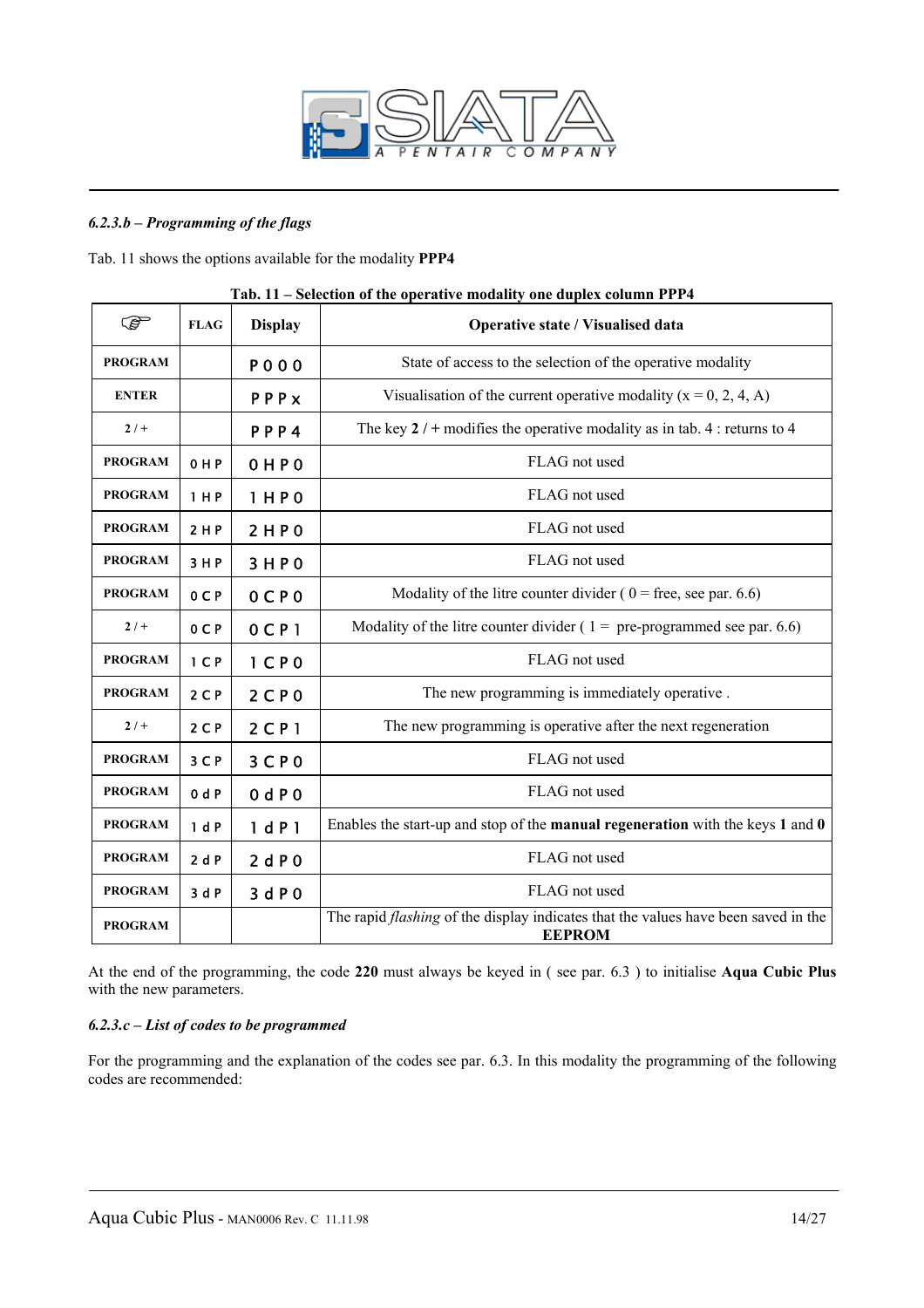

#### *6.2.3.b – Programming of the flags*

Tab. 11 shows the options available for the modality **PPP4** 

| <b>PED</b>     | <b>FLAG</b>    | <b>Display</b>      | Operative state / Visualised data                                                                          |
|----------------|----------------|---------------------|------------------------------------------------------------------------------------------------------------|
| <b>PROGRAM</b> |                | <b>POOO</b>         | State of access to the selection of the operative modality                                                 |
| <b>ENTER</b>   |                | PPPx                | Visualisation of the current operative modality $(x = 0, 2, 4, A)$                                         |
| $2/ +$         |                | PPP4                | The key $2/$ + modifies the operative modality as in tab. 4 : returns to 4                                 |
| <b>PROGRAM</b> | 0 H P          | 0 H P 0             | FLAG not used                                                                                              |
| <b>PROGRAM</b> | 1 H P          | 1HP0                | FLAG not used                                                                                              |
| <b>PROGRAM</b> | 2 H P          | 2HP0                | FLAG not used                                                                                              |
| <b>PROGRAM</b> | 3 H P          | 3HP0                | FLAG not used                                                                                              |
| <b>PROGRAM</b> | 0CP            | $0C$ $P0$           | Modality of the litre counter divider ( $0 =$ free, see par. 6.6)                                          |
| $2/ +$         | 0CP            | $0$ CP <sub>1</sub> | Modality of the litre counter divider ( $1 =$ pre-programmed see par. 6.6)                                 |
| <b>PROGRAM</b> | 1 <sub>C</sub> | 1 <sub>C</sub> P 0  | FLAG not used                                                                                              |
| <b>PROGRAM</b> | 2 <sub>C</sub> | 2 <sup>C</sup> P 0  | The new programming is immediately operative.                                                              |
| $2/+$          | $2C$ P         | 2 C P 1             | The new programming is operative after the next regeneration                                               |
| <b>PROGRAM</b> | 3 C P          | 3 <sup>C</sup> P 0  | FLAG not used                                                                                              |
| <b>PROGRAM</b> | 0 dP           | 0 dP0               | FLAG not used                                                                                              |
| <b>PROGRAM</b> | 1 dP           | 1 dP1               | Enables the start-up and stop of the <b>manual regeneration</b> with the keys $1$ and $0$                  |
| <b>PROGRAM</b> | 2dP            | 2dP0                | FLAG not used                                                                                              |
| <b>PROGRAM</b> | 3dP            | 3 dP0               | FLAG not used                                                                                              |
| <b>PROGRAM</b> |                |                     | The rapid <i>flashing</i> of the display indicates that the values have been saved in the<br><b>EEPROM</b> |

#### **Tab. 11 – Selection of the operative modality one duplex column PPP4**

At the end of the programming, the code **220** must always be keyed in ( see par. 6.3 ) to initialise **Aqua Cubic Plus** with the new parameters.

#### *6.2.3.c – List of codes to be programmed*

For the programming and the explanation of the codes see par. 6.3. In this modality the programming of the following codes are recommended: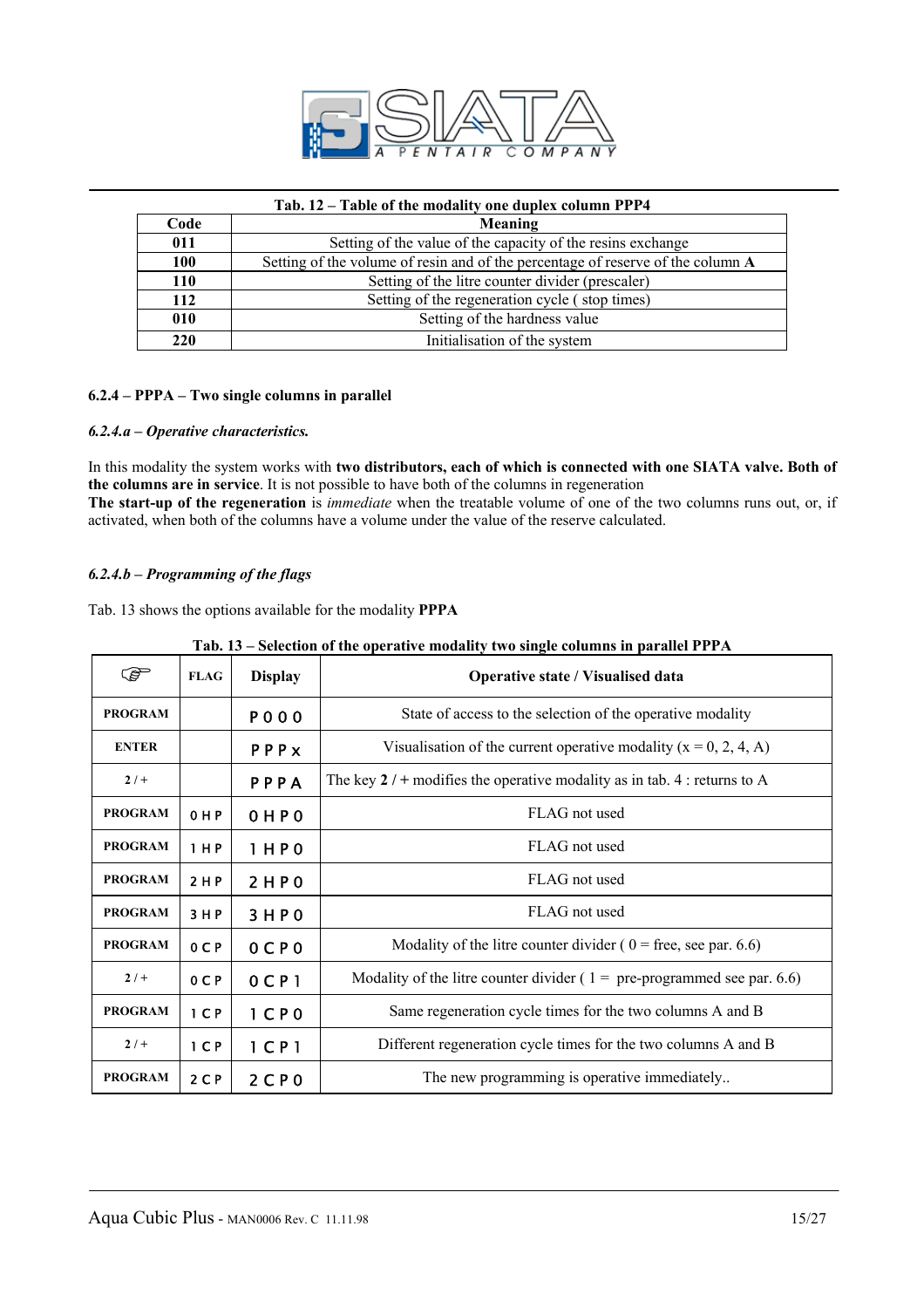

|  |  | Tab. 12 – Table of the modality one duplex column PPP4 |  |  |
|--|--|--------------------------------------------------------|--|--|
|  |  |                                                        |  |  |

| Code       | Meaning                                                                         |
|------------|---------------------------------------------------------------------------------|
| 011        | Setting of the value of the capacity of the resins exchange                     |
| 100        | Setting of the volume of resin and of the percentage of reserve of the column A |
| <b>110</b> | Setting of the litre counter divider (prescaler)                                |
| 112        | Setting of the regeneration cycle (stop times)                                  |
| 010        | Setting of the hardness value                                                   |
| 220        | Initialisation of the system                                                    |

#### **6.2.4 – PPPA – Two single columns in parallel**

#### *6.2.4.a – Operative characteristics.*

In this modality the system works with **two distributors, each of which is connected with one SIATA valve. Both of the columns are in service**. It is not possible to have both of the columns in regeneration **The start-up of the regeneration** is *immediate* when the treatable volume of one of the two columns runs out, or, if activated, when both of the columns have a volume under the value of the reserve calculated.

#### *6.2.4.b – Programming of the flags*

Tab. 13 shows the options available for the modality **PPPA** 

| ڪ              | <b>FLAG</b>    | <b>Display</b>      | Operative state / Visualised data                                           |
|----------------|----------------|---------------------|-----------------------------------------------------------------------------|
| <b>PROGRAM</b> |                | <b>PO00</b>         | State of access to the selection of the operative modality                  |
| <b>ENTER</b>   |                | PPPx                | Visualisation of the current operative modality $(x = 0, 2, 4, A)$          |
| $2/+$          |                | PPPA                | The key $2 / +$ modifies the operative modality as in tab. 4 : returns to A |
| <b>PROGRAM</b> | $0$ HP         | $0$ HP $0$          | FLAG not used                                                               |
| <b>PROGRAM</b> | 1 H P          | 1 H P 0             | FLAG not used                                                               |
| <b>PROGRAM</b> | 2 H P          | 2 H P 0             | FLAG not used                                                               |
| <b>PROGRAM</b> | 3 H P          | 3HP0                | FLAG not used                                                               |
| <b>PROGRAM</b> | OCP            | $0C$ $P0$           | Modality of the litre counter divider ( $0 =$ free, see par. 6.6)           |
| $2/+$          | 0 <sub>C</sub> | $0C$ $P1$           | Modality of the litre counter divider ( $1 =$ pre-programmed see par. 6.6)  |
| <b>PROGRAM</b> | 1 <sub>C</sub> | $1$ C P 0           | Same regeneration cycle times for the two columns A and B                   |
| $2/+$          | 1 <sup>C</sup> | $1$ CP <sub>1</sub> | Different regeneration cycle times for the two columns A and B              |
| <b>PROGRAM</b> | 2 <sub>C</sub> | 2 <sup>C</sup> P 0  | The new programming is operative immediately                                |

|  |  |  |  | Tab. 13 – Selection of the operative modality two single columns in parallel PPPA |  |
|--|--|--|--|-----------------------------------------------------------------------------------|--|
|  |  |  |  |                                                                                   |  |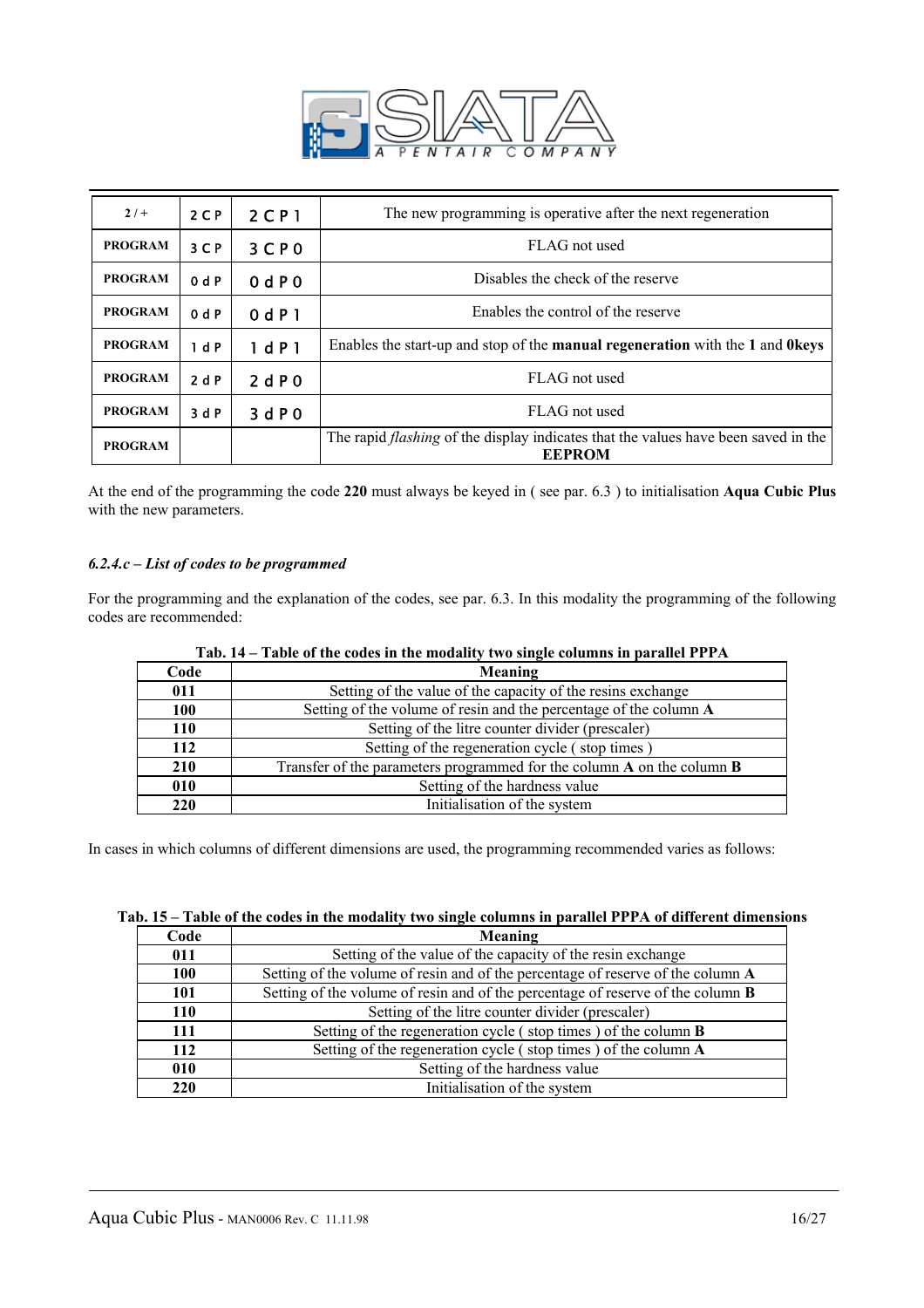

| $2/+$          | $2C$ P         | $2$ C P 1 | The new programming is operative after the next regeneration                                               |
|----------------|----------------|-----------|------------------------------------------------------------------------------------------------------------|
| <b>PROGRAM</b> | 3 <sup>C</sup> | 3CP0      | FLAG not used                                                                                              |
| <b>PROGRAM</b> | 0 dP           | 0 dP0     | Disables the check of the reserve                                                                          |
| <b>PROGRAM</b> | 0 dP           | 0 dP1     | Enables the control of the reserve                                                                         |
| <b>PROGRAM</b> | 1 d P          | 1 dP1     | Enables the start-up and stop of the manual regeneration with the 1 and 0keys                              |
| <b>PROGRAM</b> | 2dP            | 2 dP0     | FLAG not used                                                                                              |
| <b>PROGRAM</b> | 3dP            | 3 dP0     | FLAG not used                                                                                              |
| <b>PROGRAM</b> |                |           | The rapid <i>flashing</i> of the display indicates that the values have been saved in the<br><b>EEPROM</b> |

At the end of the programming the code **220** must always be keyed in ( see par. 6.3 ) to initialisation **Aqua Cubic Plus** with the new parameters.

#### *6.2.4.c – List of codes to be programmed*

For the programming and the explanation of the codes, see par. 6.3. In this modality the programming of the following codes are recommended:

|      | $1$ ab. $14 - 1$ abic of the coues in the modality two single columns in parallel 1 1 H $\Delta$ |  |  |  |  |
|------|--------------------------------------------------------------------------------------------------|--|--|--|--|
| Code | Meaning                                                                                          |  |  |  |  |
| 011  | Setting of the value of the capacity of the resins exchange                                      |  |  |  |  |
| 100  | Setting of the volume of resin and the percentage of the column A                                |  |  |  |  |
| 110  | Setting of the litre counter divider (prescaler)                                                 |  |  |  |  |
| 112  | Setting of the regeneration cycle (stop times)                                                   |  |  |  |  |
| 210  | Transfer of the parameters programmed for the column $A$ on the column $B$                       |  |  |  |  |
| 010  | Setting of the hardness value                                                                    |  |  |  |  |
| 220  | Initialisation of the system                                                                     |  |  |  |  |

|  |  |  | Tab. 14 – Table of the codes in the modality two single columns in parallel PPPA |
|--|--|--|----------------------------------------------------------------------------------|
|  |  |  |                                                                                  |

In cases in which columns of different dimensions are used, the programming recommended varies as follows:

| Tab. 15 – Table of the codes in the modality two single columns in parallel PPPA of different dimensions |  |  |  |  |
|----------------------------------------------------------------------------------------------------------|--|--|--|--|
|                                                                                                          |  |  |  |  |

| Code       | Meaning                                                                                |
|------------|----------------------------------------------------------------------------------------|
| 011        | Setting of the value of the capacity of the resin exchange                             |
| 100        | Setting of the volume of resin and of the percentage of reserve of the column A        |
| 101        | Setting of the volume of resin and of the percentage of reserve of the column <b>B</b> |
| 110        | Setting of the litre counter divider (prescaler)                                       |
| 111        | Setting of the regeneration cycle (stop times) of the column <b>B</b>                  |
| 112        | Setting of the regeneration cycle (stop times) of the column A                         |
| 010        | Setting of the hardness value                                                          |
| <b>220</b> | Initialisation of the system                                                           |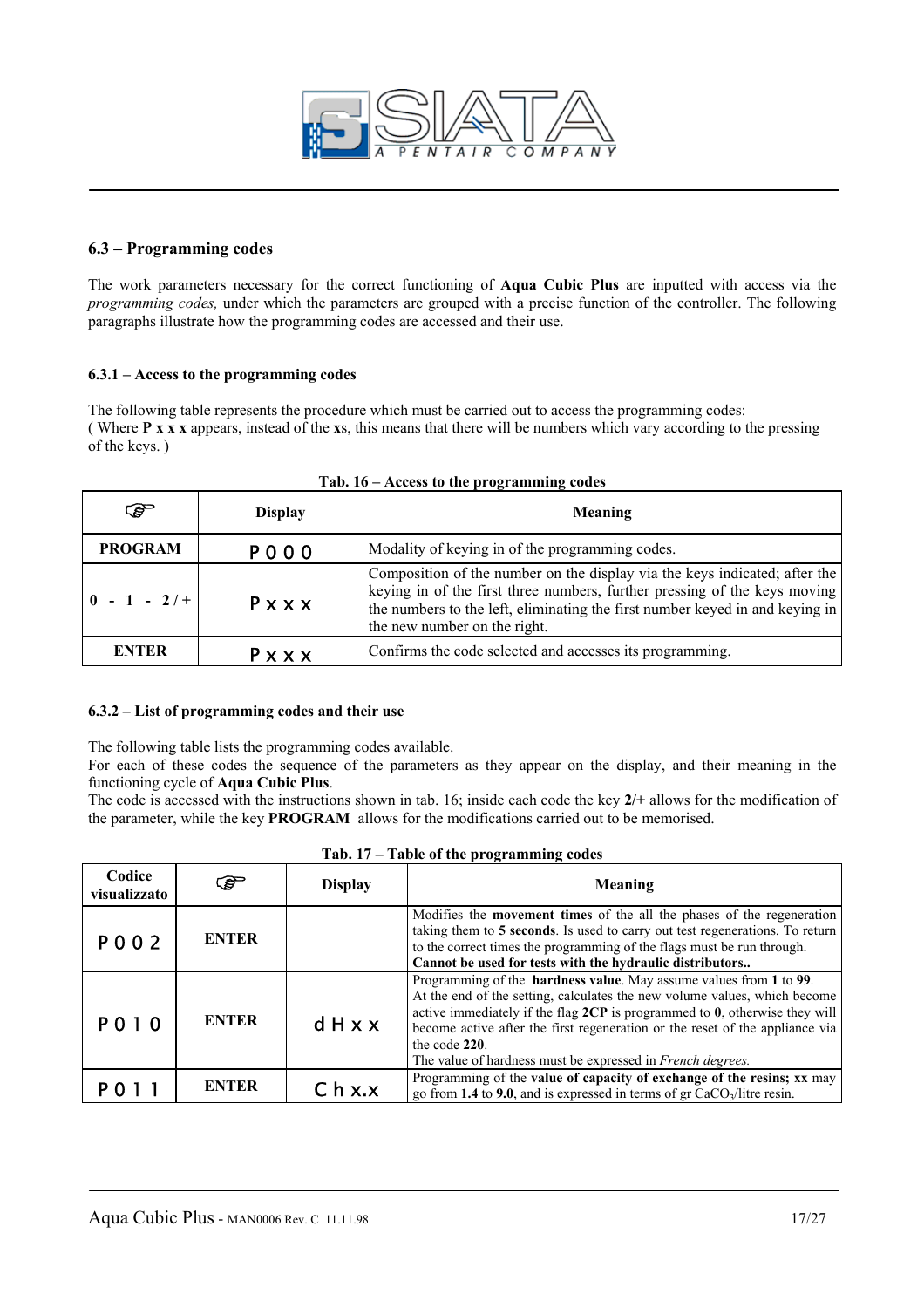

#### **6.3 – Programming codes**

The work parameters necessary for the correct functioning of **Aqua Cubic Plus** are inputted with access via the *programming codes,* under which the parameters are grouped with a precise function of the controller. The following paragraphs illustrate how the programming codes are accessed and their use.

#### **6.3.1 – Access to the programming codes**

The following table represents the procedure which must be carried out to access the programming codes: ( Where **P x x x** appears, instead of the **x**s, this means that there will be numbers which vary according to the pressing of the keys. )

| $\bullet$                                    | <b>Display</b> | Meaning                                                                                                                                                                                                                                                                 |
|----------------------------------------------|----------------|-------------------------------------------------------------------------------------------------------------------------------------------------------------------------------------------------------------------------------------------------------------------------|
| <b>PROGRAM</b>                               | P 0 0 0        | Modality of keying in of the programming codes.                                                                                                                                                                                                                         |
| $\begin{bmatrix} 0 & -1 & -2/ \end{bmatrix}$ | Pxxx           | Composition of the number on the display via the keys indicated; after the<br>keying in of the first three numbers, further pressing of the keys moving<br>the numbers to the left, eliminating the first number keyed in and keying in<br>the new number on the right. |
| <b>ENTER</b>                                 | $P$ x x x      | Confirms the code selected and accesses its programming.                                                                                                                                                                                                                |

|  |  |  |  |  | Tab. 16 - Access to the programming codes |  |
|--|--|--|--|--|-------------------------------------------|--|
|--|--|--|--|--|-------------------------------------------|--|

#### **6.3.2 – List of programming codes and their use**

The following table lists the programming codes available.

For each of these codes the sequence of the parameters as they appear on the display, and their meaning in the functioning cycle of **Aqua Cubic Plus**.

The code is accessed with the instructions shown in tab. 16; inside each code the key **2/+** allows for the modification of the parameter, while the key **PROGRAM** allows for the modifications carried out to be memorised.

| Codice<br>visualizzato | F            | <b>Display</b>     | Twore of the programming could<br>Meaning                                                                                                                                                                                                                                                                                                                                                                 |
|------------------------|--------------|--------------------|-----------------------------------------------------------------------------------------------------------------------------------------------------------------------------------------------------------------------------------------------------------------------------------------------------------------------------------------------------------------------------------------------------------|
| <b>PO02</b>            | <b>ENTER</b> |                    | Modifies the <b>movement times</b> of the all the phases of the regeneration<br>taking them to 5 seconds. Is used to carry out test regenerations. To return<br>to the correct times the programming of the flags must be run through.<br>Cannot be used for tests with the hydraulic distributors                                                                                                        |
| <b>PO10</b>            | <b>ENTER</b> | dHxx               | Programming of the hardness value. May assume values from 1 to 99.<br>At the end of the setting, calculates the new volume values, which become<br>active immediately if the flag $2CP$ is programmed to $0$ , otherwise they will<br>become active after the first regeneration or the reset of the appliance via<br>the code 220.<br>The value of hardness must be expressed in <i>French degrees</i> . |
|                        | <b>ENTER</b> | C <sub>h</sub> x.x | Programming of the value of capacity of exchange of the resins; xx may<br>go from 1.4 to 9.0, and is expressed in terms of gr $CaCO3/litre$ resin.                                                                                                                                                                                                                                                        |

|  |  |  |  |  |  | Tab. 17 – Table of the programming codes |  |
|--|--|--|--|--|--|------------------------------------------|--|
|--|--|--|--|--|--|------------------------------------------|--|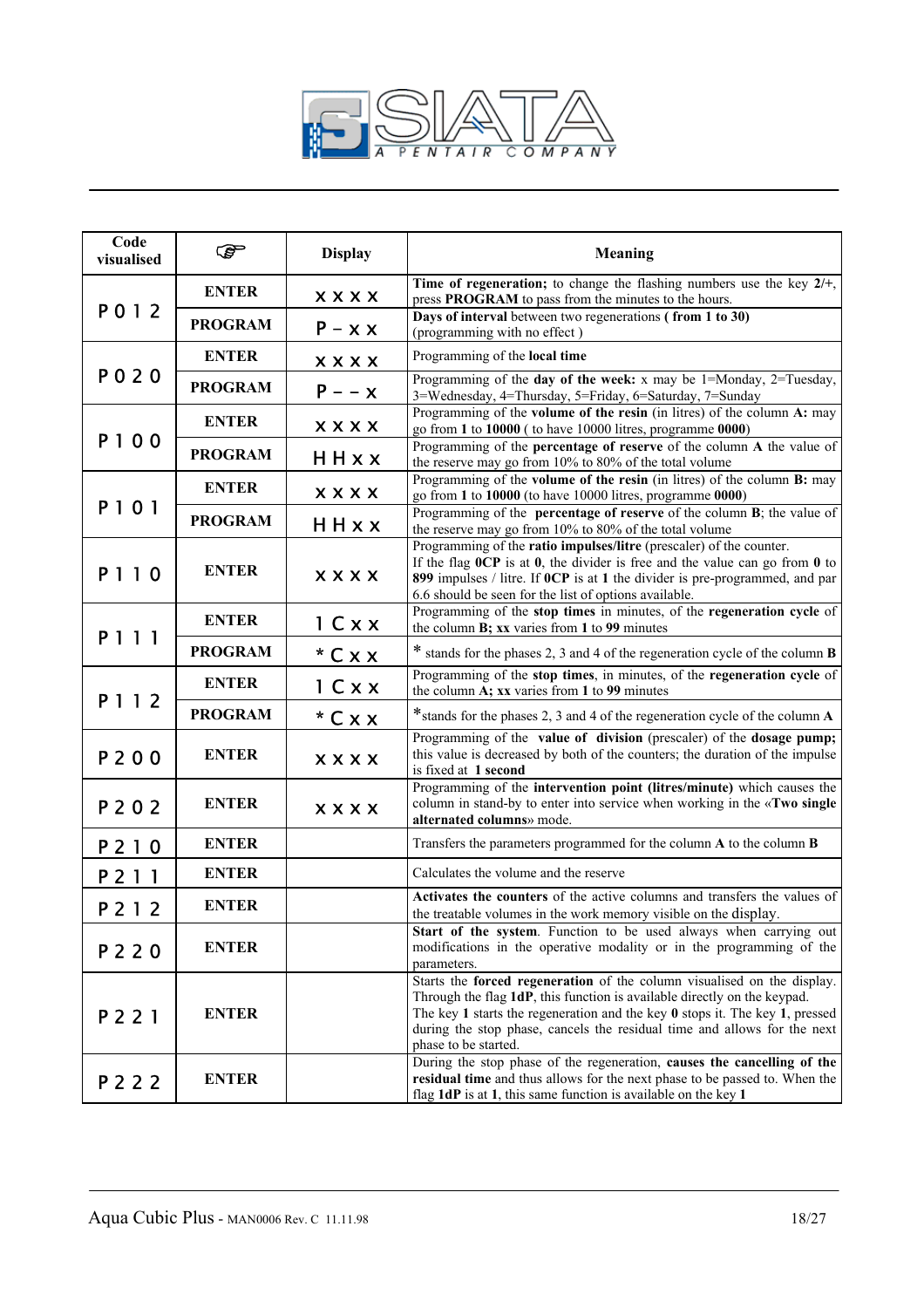

| Code<br>visualised | ☞              | <b>Display</b> | <b>Meaning</b>                                                                                                                                                                                                                                                                                                                            |
|--------------------|----------------|----------------|-------------------------------------------------------------------------------------------------------------------------------------------------------------------------------------------------------------------------------------------------------------------------------------------------------------------------------------------|
|                    | <b>ENTER</b>   | <b>XXXX</b>    | Time of regeneration; to change the flashing numbers use the key $2/+,$<br>press PROGRAM to pass from the minutes to the hours.                                                                                                                                                                                                           |
| P012               | <b>PROGRAM</b> | $P - x x$      | Days of interval between two regenerations (from 1 to 30)<br>(programming with no effect)                                                                                                                                                                                                                                                 |
|                    | <b>ENTER</b>   | <b>XXXX</b>    | Programming of the local time                                                                                                                                                                                                                                                                                                             |
| P 0 2 0            | <b>PROGRAM</b> | $P - -x$       | Programming of the day of the week: $x$ may be 1=Monday, 2=Tuesday,<br>3=Wednesday, 4=Thursday, 5=Friday, 6=Saturday, 7=Sunday                                                                                                                                                                                                            |
| P100               | <b>ENTER</b>   | <b>XXXX</b>    | Programming of the volume of the resin (in litres) of the column A: may<br>go from 1 to 10000 (to have 10000 litres, programme 0000)                                                                                                                                                                                                      |
|                    | <b>PROGRAM</b> | HHxx           | Programming of the percentage of reserve of the column A the value of<br>the reserve may go from 10% to 80% of the total volume                                                                                                                                                                                                           |
|                    | <b>ENTER</b>   | <b>XXXX</b>    | Programming of the volume of the resin (in litres) of the column B: may<br>go from 1 to 10000 (to have 10000 litres, programme 0000)                                                                                                                                                                                                      |
| P101               | <b>PROGRAM</b> | HHxx           | Programming of the <b>percentage of reserve</b> of the column <b>B</b> ; the value of<br>the reserve may go from 10% to 80% of the total volume                                                                                                                                                                                           |
| P110               | <b>ENTER</b>   | <b>XXXX</b>    | Programming of the ratio impulses/litre (prescaler) of the counter.<br>If the flag $0CP$ is at $0$ , the divider is free and the value can go from $0$ to<br>899 impulses / litre. If OCP is at 1 the divider is pre-programmed, and par<br>6.6 should be seen for the list of options available.                                         |
|                    | <b>ENTER</b>   | 1 C x x        | Programming of the stop times in minutes, of the regeneration cycle of<br>the column B; xx varies from 1 to 99 minutes                                                                                                                                                                                                                    |
| P 1 1 1            | <b>PROGRAM</b> | $*$ C x x      | * stands for the phases 2, 3 and 4 of the regeneration cycle of the column B                                                                                                                                                                                                                                                              |
|                    | <b>ENTER</b>   | 1 Cxx          | Programming of the stop times, in minutes, of the regeneration cycle of<br>the column A; xx varies from 1 to 99 minutes                                                                                                                                                                                                                   |
| P 1 1 2            | <b>PROGRAM</b> | $*$ C x x      | *stands for the phases 2, 3 and 4 of the regeneration cycle of the column A                                                                                                                                                                                                                                                               |
| P200               | <b>ENTER</b>   | <b>XXXX</b>    | Programming of the value of division (prescaler) of the dosage pump;<br>this value is decreased by both of the counters; the duration of the impulse<br>is fixed at 1 second                                                                                                                                                              |
| P 2 0 2            | <b>ENTER</b>   | <b>XXXX</b>    | Programming of the intervention point (litres/minute) which causes the<br>column in stand-by to enter into service when working in the «Two single<br>alternated columns» mode.                                                                                                                                                           |
| P 2 1 0            | <b>ENTER</b>   |                | Transfers the parameters programmed for the column A to the column B                                                                                                                                                                                                                                                                      |
| <b>P211</b>        | <b>ENTER</b>   |                | Calculates the volume and the reserve                                                                                                                                                                                                                                                                                                     |
| P 2 1 2            | <b>ENTER</b>   |                | Activates the counters of the active columns and transfers the values of<br>the treatable volumes in the work memory visible on the display.                                                                                                                                                                                              |
| P 2 2 0            | <b>ENTER</b>   |                | Start of the system. Function to be used always when carrying out<br>modifications in the operative modality or in the programming of the<br>parameters.                                                                                                                                                                                  |
| P 2 2 1            | <b>ENTER</b>   |                | Starts the forced regeneration of the column visualised on the display.<br>Through the flag 1dP, this function is available directly on the keypad.<br>The key 1 starts the regeneration and the key $0$ stops it. The key 1, pressed<br>during the stop phase, cancels the residual time and allows for the next<br>phase to be started. |
| P 2 2 2            | <b>ENTER</b>   |                | During the stop phase of the regeneration, causes the cancelling of the<br>residual time and thus allows for the next phase to be passed to. When the<br>flag 1dP is at 1, this same function is available on the key 1                                                                                                                   |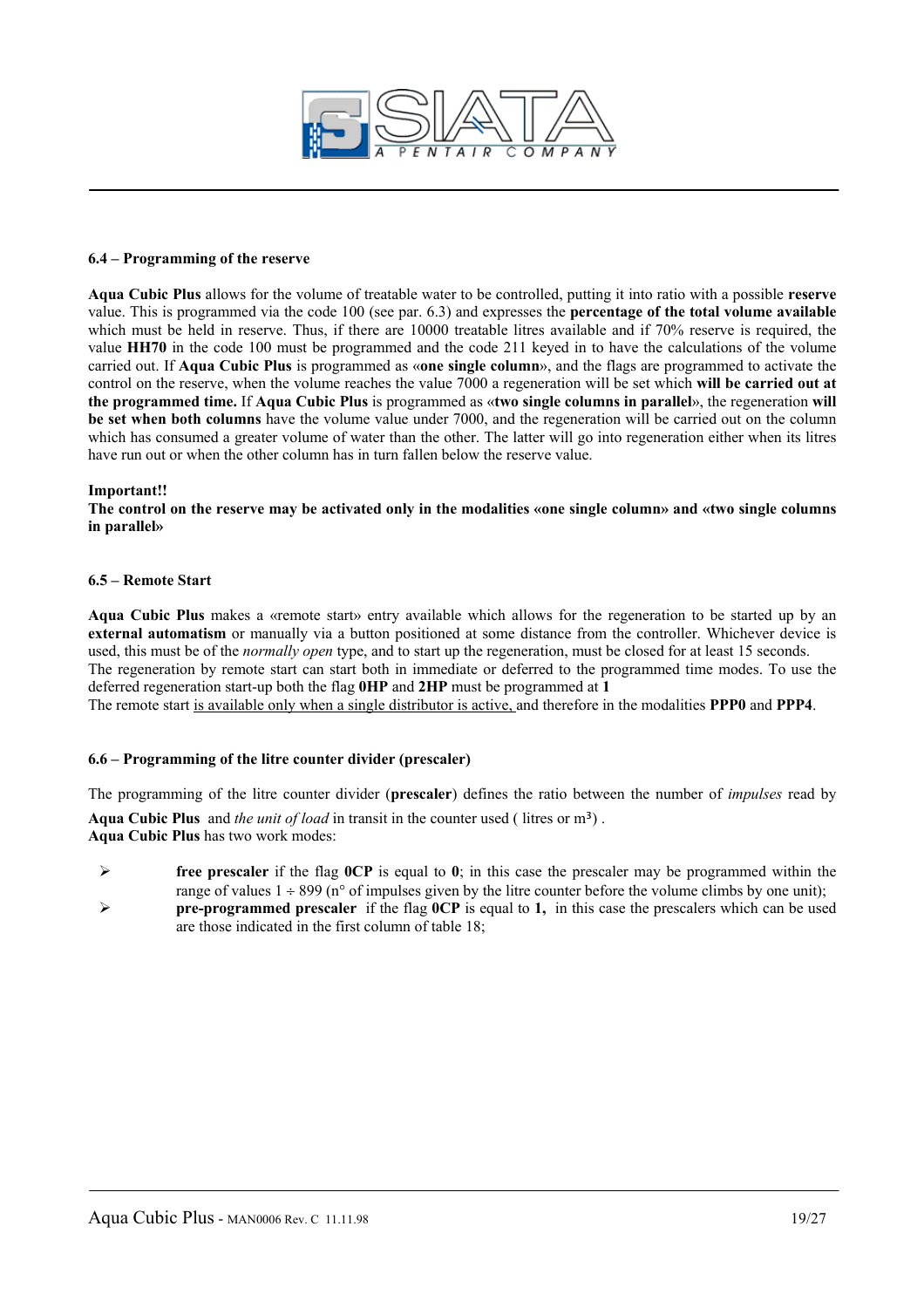

#### **6.4 – Programming of the reserve**

**Aqua Cubic Plus** allows for the volume of treatable water to be controlled, putting it into ratio with a possible **reserve**  value. This is programmed via the code 100 (see par. 6.3) and expresses the **percentage of the total volume available**  which must be held in reserve. Thus, if there are 10000 treatable litres available and if 70% reserve is required, the value **HH70** in the code 100 must be programmed and the code 211 keyed in to have the calculations of the volume carried out. If **Aqua Cubic Plus** is programmed as «**one single column**», and the flags are programmed to activate the control on the reserve, when the volume reaches the value 7000 a regeneration will be set which **will be carried out at the programmed time.** If **Aqua Cubic Plus** is programmed as «**two single columns in parallel**», the regeneration **will be set when both columns** have the volume value under 7000, and the regeneration will be carried out on the column which has consumed a greater volume of water than the other. The latter will go into regeneration either when its litres have run out or when the other column has in turn fallen below the reserve value.

#### **Important!!**

**The control on the reserve may be activated only in the modalities «one single column» and «two single columns in parallel»**

#### **6.5 – Remote Start**

**Aqua Cubic Plus** makes a «remote start» entry available which allows for the regeneration to be started up by an **external automatism** or manually via a button positioned at some distance from the controller. Whichever device is used, this must be of the *normally open* type, and to start up the regeneration, must be closed for at least 15 seconds. The regeneration by remote start can start both in immediate or deferred to the programmed time modes. To use the deferred regeneration start-up both the flag **0HP** and **2HP** must be programmed at **1** 

The remote start is available only when a single distributor is active, and therefore in the modalities **PPP0** and **PPP4**.

#### **6.6 – Programming of the litre counter divider (prescaler)**

The programming of the litre counter divider (**prescaler**) defines the ratio between the number of *impulses* read by Aqua Cubic Plus and *the unit of load* in transit in the counter used (litres or m<sup>3</sup>).

**Aqua Cubic Plus** has two work modes:

- ¾ **free prescaler** if the flag **0CP** is equal to **0**; in this case the prescaler may be programmed within the range of values  $1 \div 899$  (n° of impulses given by the litre counter before the volume climbs by one unit);
- ¾ **pre-programmed prescaler** if the flag **0CP** is equal to **1,** in this case the prescalers which can be used are those indicated in the first column of table 18;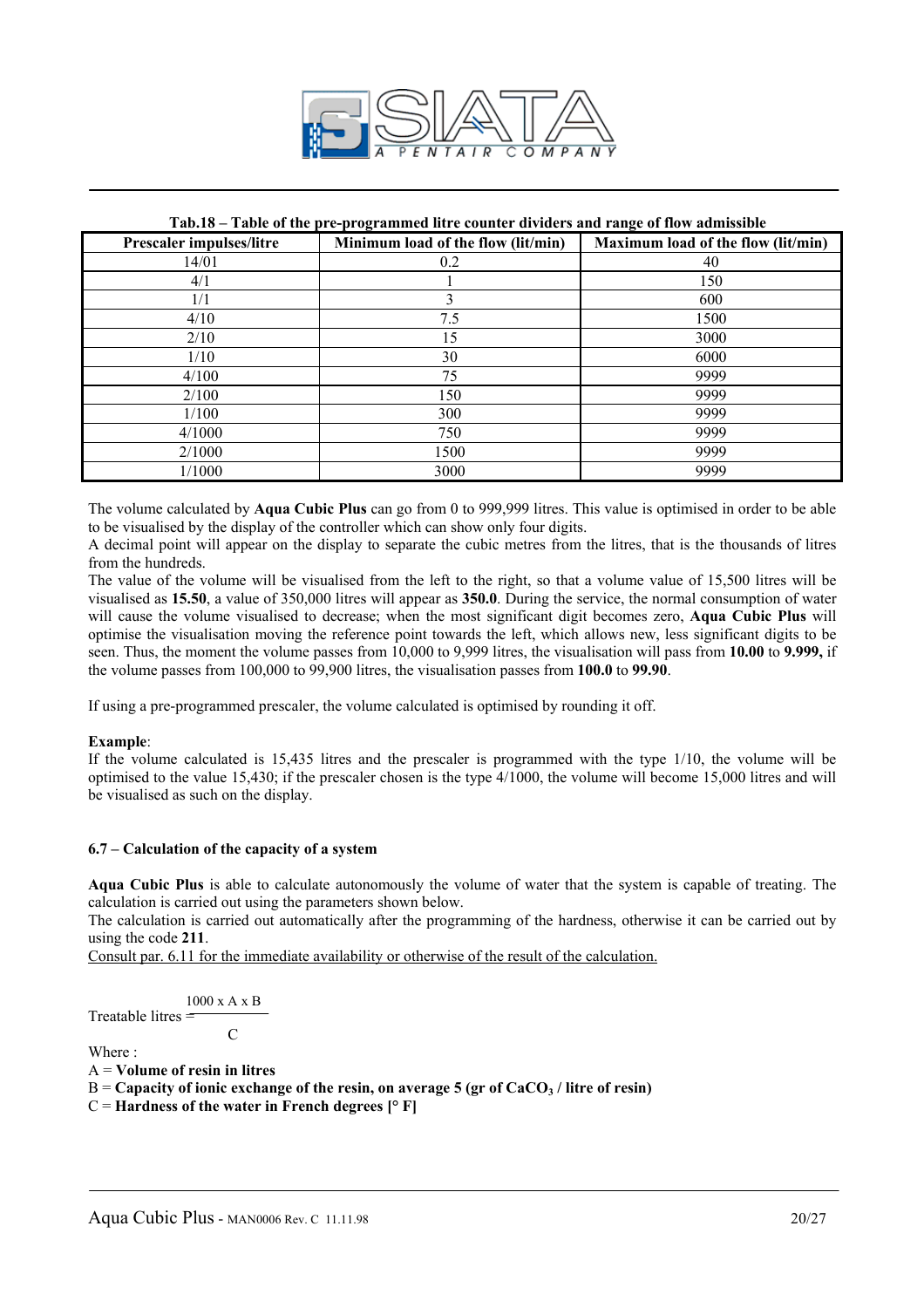

#### **Tab.18 – Table of the pre-programmed litre counter dividers and range of flow admissible**

| <b>Prescaler impulses/litre</b> | Minimum load of the flow (lit/min) | Maximum load of the flow (lit/min) |
|---------------------------------|------------------------------------|------------------------------------|
| 14/01                           | 0.2                                | 40                                 |
| 4/1                             |                                    | 150                                |
| 1/1                             | 3                                  | 600                                |
| 4/10                            | 7.5                                | 1500                               |
| 2/10                            | 15                                 | 3000                               |
| 1/10                            | 30                                 | 6000                               |
| 4/100                           | 75                                 | 9999                               |
| 2/100                           | 150                                | 9999                               |
| 1/100                           | 300                                | 9999                               |
| 4/1000                          | 750                                | 9999                               |
| 2/1000                          | 1500                               | 9999                               |
| 1/1000                          | 3000                               | 9999                               |

The volume calculated by **Aqua Cubic Plus** can go from 0 to 999,999 litres. This value is optimised in order to be able to be visualised by the display of the controller which can show only four digits.

A decimal point will appear on the display to separate the cubic metres from the litres, that is the thousands of litres from the hundreds.

The value of the volume will be visualised from the left to the right, so that a volume value of 15,500 litres will be visualised as **15.50**, a value of 350,000 litres will appear as **350.0**. During the service, the normal consumption of water will cause the volume visualised to decrease; when the most significant digit becomes zero, **Aqua Cubic Plus** will optimise the visualisation moving the reference point towards the left, which allows new, less significant digits to be seen. Thus, the moment the volume passes from 10,000 to 9,999 litres, the visualisation will pass from **10.00** to **9.999,** if the volume passes from 100,000 to 99,900 litres, the visualisation passes from **100.0** to **99.90**.

If using a pre-programmed prescaler, the volume calculated is optimised by rounding it off.

#### **Example**:

If the volume calculated is 15,435 litres and the prescaler is programmed with the type 1/10, the volume will be optimised to the value 15,430; if the prescaler chosen is the type 4/1000, the volume will become 15,000 litres and will be visualised as such on the display.

#### **6.7 – Calculation of the capacity of a system**

**Aqua Cubic Plus** is able to calculate autonomously the volume of water that the system is capable of treating. The calculation is carried out using the parameters shown below.

The calculation is carried out automatically after the programming of the hardness, otherwise it can be carried out by using the code **211**.

Consult par. 6.11 for the immediate availability or otherwise of the result of the calculation.

$$
\frac{1000 \text{ x A x B}}{\text{Treatable litres}} =
$$

**C** C

Where  $\cdot$ 

A = **Volume of resin in litres**

B = Capacity of ionic exchange of the resin, on average 5 (gr of CaCO<sub>3</sub> / litre of resin)

 $C =$  **Hardness of the water in French degrees**  $[° F]$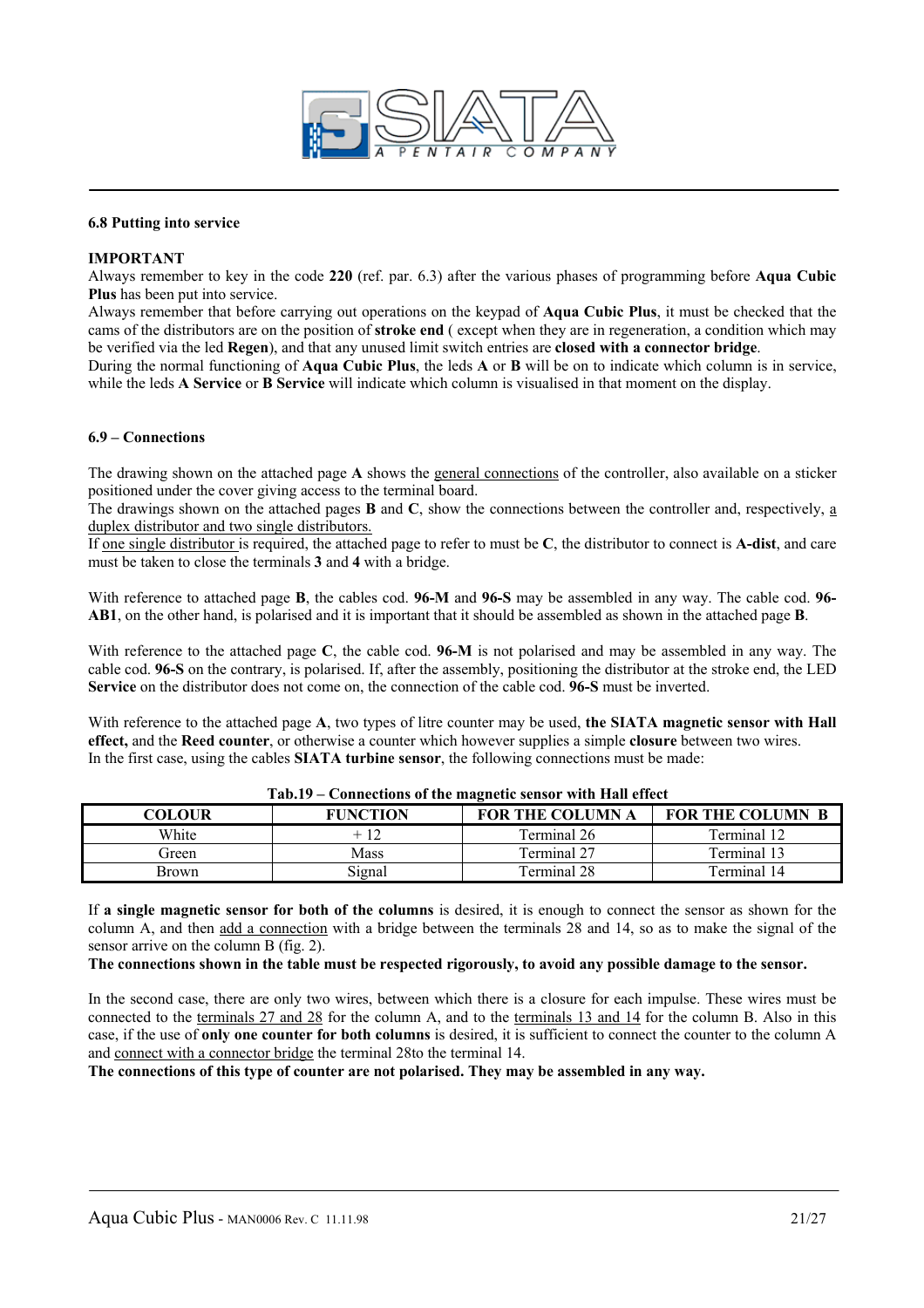

#### **6.8 Putting into service**

#### **IMPORTANT**

Always remember to key in the code **220** (ref. par. 6.3) after the various phases of programming before **Aqua Cubic Plus** has been put into service.

Always remember that before carrying out operations on the keypad of **Aqua Cubic Plus**, it must be checked that the cams of the distributors are on the position of **stroke end** ( except when they are in regeneration, a condition which may be verified via the led **Regen**), and that any unused limit switch entries are **closed with a connector bridge**.

During the normal functioning of **Aqua Cubic Plus**, the leds **A** or **B** will be on to indicate which column is in service, while the leds **A Service** or **B Service** will indicate which column is visualised in that moment on the display.

#### **6.9 – Connections**

The drawing shown on the attached page **A** shows the general connections of the controller, also available on a sticker positioned under the cover giving access to the terminal board.

The drawings shown on the attached pages **B** and **C**, show the connections between the controller and, respectively, a duplex distributor and two single distributors.

If one single distributor is required, the attached page to refer to must be **C**, the distributor to connect is **A-dist**, and care must be taken to close the terminals **3** and **4** with a bridge.

With reference to attached page **B**, the cables cod. **96-M** and **96-S** may be assembled in any way. The cable cod. **96- AB1**, on the other hand, is polarised and it is important that it should be assembled as shown in the attached page **B**.

With reference to the attached page **C**, the cable cod. **96-M** is not polarised and may be assembled in any way. The cable cod. **96-S** on the contrary, is polarised. If, after the assembly, positioning the distributor at the stroke end, the LED **Service** on the distributor does not come on, the connection of the cable cod. **96-S** must be inverted.

With reference to the attached page A, two types of litre counter may be used, **the SIATA magnetic sensor with Hall effect,** and the **Reed counter**, or otherwise a counter which however supplies a simple **closure** between two wires. In the first case, using the cables **SIATA turbine sensor**, the following connections must be made:

| ******<br>Connections of the magnetic sensor with fram effect |                 |                         |                         |  |  |  |
|---------------------------------------------------------------|-----------------|-------------------------|-------------------------|--|--|--|
| COLOUR                                                        | <b>FUNCTION</b> | <b>FOR THE COLUMN A</b> | <b>FOR THE COLUMN B</b> |  |  |  |
| White                                                         | + 12            | Terminal 26             | Terminal 12             |  |  |  |
| Green                                                         | Mass            | Terminal 27             | Terminal 13             |  |  |  |
| Brown                                                         | Signal          | Terminal 28             | Terminal 14             |  |  |  |

#### **Tab.19 – Connections of the magnetic sensor with Hall effect**

If **a single magnetic sensor for both of the columns** is desired, it is enough to connect the sensor as shown for the column A, and then add a connection with a bridge between the terminals 28 and 14, so as to make the signal of the sensor arrive on the column B (fig. 2).

#### **The connections shown in the table must be respected rigorously, to avoid any possible damage to the sensor.**

In the second case, there are only two wires, between which there is a closure for each impulse. These wires must be connected to the terminals 27 and 28 for the column A, and to the terminals 13 and 14 for the column B. Also in this case, if the use of **only one counter for both columns** is desired, it is sufficient to connect the counter to the column A and connect with a connector bridge the terminal 28to the terminal 14.

**The connections of this type of counter are not polarised. They may be assembled in any way.**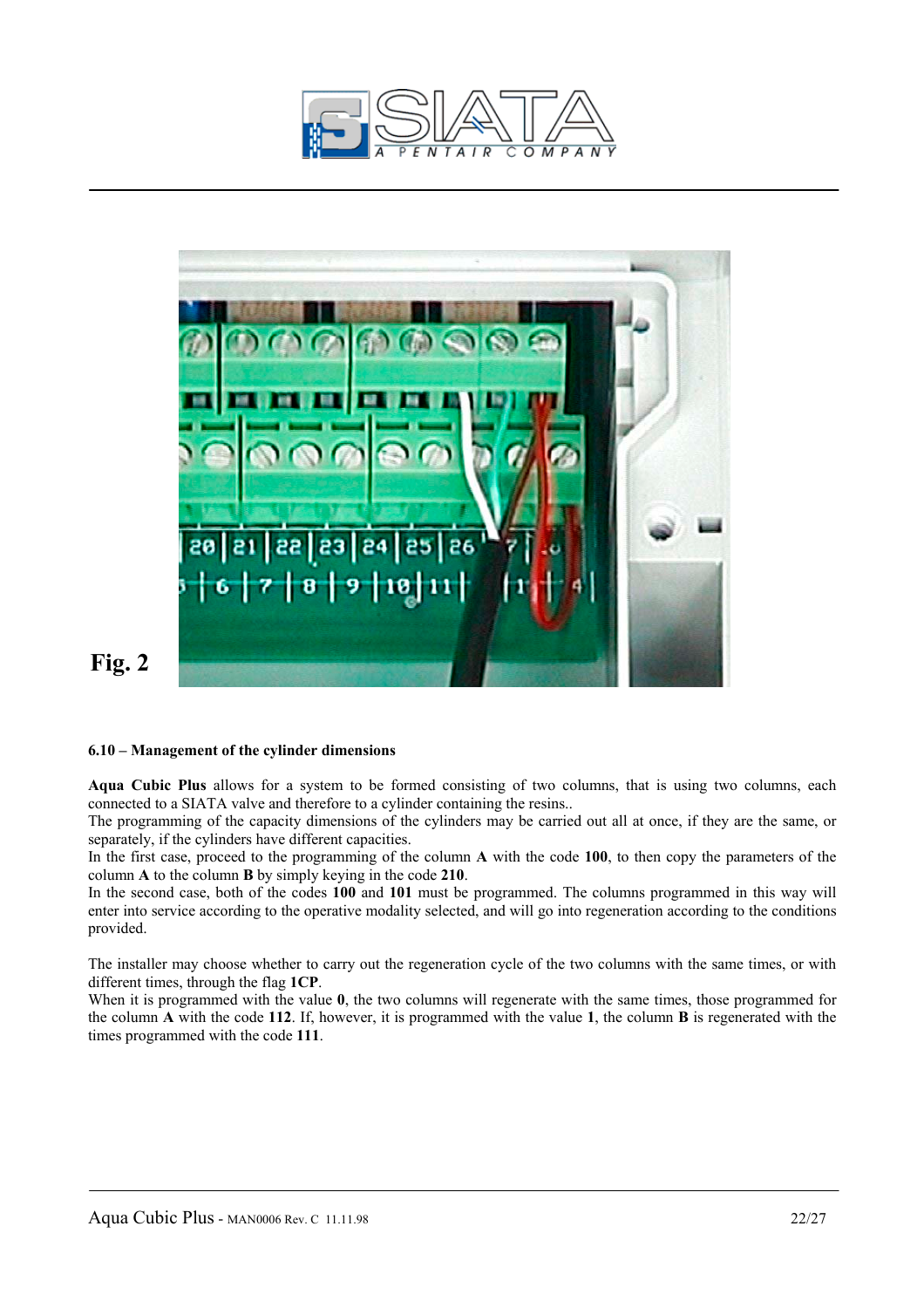



# **Fig. 2**

#### **6.10 – Management of the cylinder dimensions**

**Aqua Cubic Plus** allows for a system to be formed consisting of two columns, that is using two columns, each connected to a SIATA valve and therefore to a cylinder containing the resins..

The programming of the capacity dimensions of the cylinders may be carried out all at once, if they are the same, or separately, if the cylinders have different capacities.

In the first case, proceed to the programming of the column **A** with the code **100**, to then copy the parameters of the column **A** to the column **B** by simply keying in the code **210**.

In the second case, both of the codes **100** and **101** must be programmed. The columns programmed in this way will enter into service according to the operative modality selected, and will go into regeneration according to the conditions provided.

The installer may choose whether to carry out the regeneration cycle of the two columns with the same times, or with different times, through the flag **1CP**.

When it is programmed with the value **0**, the two columns will regenerate with the same times, those programmed for the column **A** with the code **112**. If, however, it is programmed with the value **1**, the column **B** is regenerated with the times programmed with the code **111**.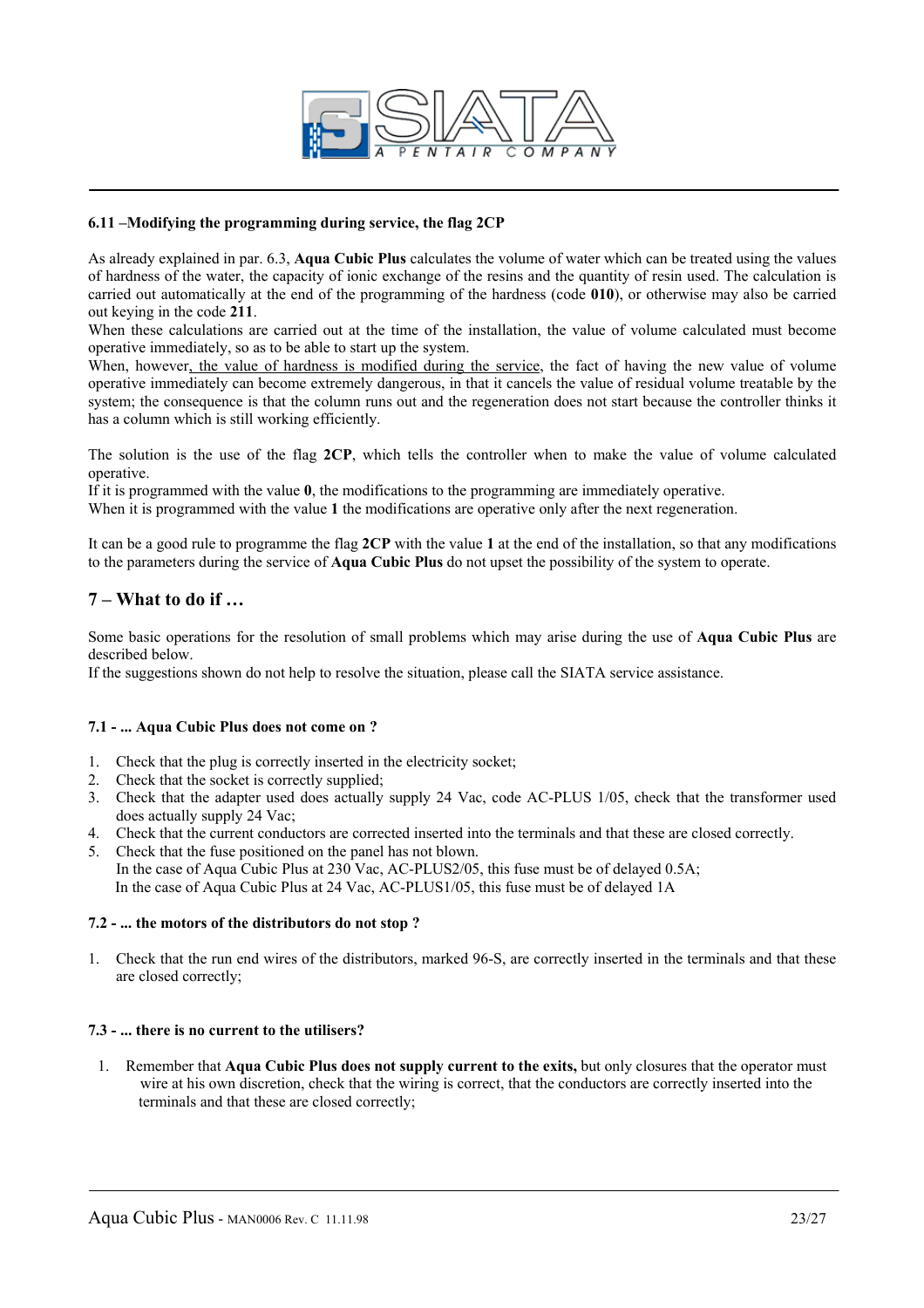

#### **6.11 –Modifying the programming during service, the flag 2CP**

As already explained in par. 6.3, **Aqua Cubic Plus** calculates the volume of water which can be treated using the values of hardness of the water, the capacity of ionic exchange of the resins and the quantity of resin used. The calculation is carried out automatically at the end of the programming of the hardness (code **010**), or otherwise may also be carried out keying in the code **211**.

When these calculations are carried out at the time of the installation, the value of volume calculated must become operative immediately, so as to be able to start up the system.

When, however, the value of hardness is modified during the service, the fact of having the new value of volume operative immediately can become extremely dangerous, in that it cancels the value of residual volume treatable by the system; the consequence is that the column runs out and the regeneration does not start because the controller thinks it has a column which is still working efficiently.

The solution is the use of the flag **2CP**, which tells the controller when to make the value of volume calculated operative.

If it is programmed with the value **0**, the modifications to the programming are immediately operative.

When it is programmed with the value 1 the modifications are operative only after the next regeneration.

It can be a good rule to programme the flag **2CP** with the value **1** at the end of the installation, so that any modifications to the parameters during the service of **Aqua Cubic Plus** do not upset the possibility of the system to operate.

#### **7 – What to do if …**

Some basic operations for the resolution of small problems which may arise during the use of **Aqua Cubic Plus** are described below.

If the suggestions shown do not help to resolve the situation, please call the SIATA service assistance.

#### **7.1 - ... Aqua Cubic Plus does not come on ?**

- 1. Check that the plug is correctly inserted in the electricity socket;
- 2. Check that the socket is correctly supplied;
- 3. Check that the adapter used does actually supply 24 Vac, code AC-PLUS 1/05, check that the transformer used does actually supply 24 Vac;
- 4. Check that the current conductors are corrected inserted into the terminals and that these are closed correctly.
- 5. Check that the fuse positioned on the panel has not blown. In the case of Aqua Cubic Plus at 230 Vac, AC-PLUS2/05, this fuse must be of delayed 0.5A; In the case of Aqua Cubic Plus at 24 Vac, AC-PLUS1/05, this fuse must be of delayed 1A

#### **7.2 - ... the motors of the distributors do not stop ?**

1. Check that the run end wires of the distributors, marked 96-S, are correctly inserted in the terminals and that these are closed correctly;

#### **7.3 - ... there is no current to the utilisers?**

1. Remember that **Aqua Cubic Plus does not supply current to the exits,** but only closures that the operator must wire at his own discretion, check that the wiring is correct, that the conductors are correctly inserted into the terminals and that these are closed correctly;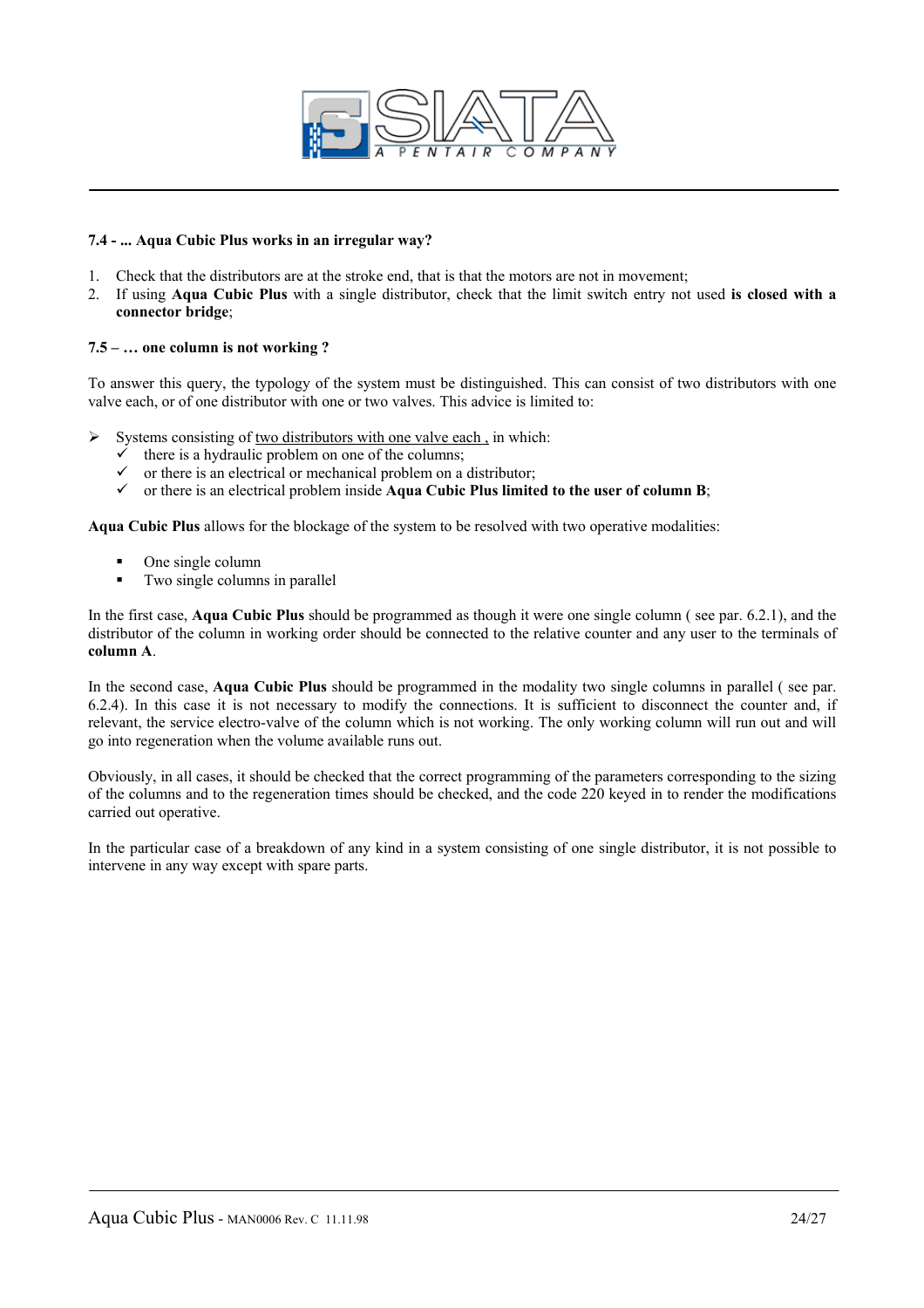

#### **7.4 - ... Aqua Cubic Plus works in an irregular way?**

- 1. Check that the distributors are at the stroke end, that is that the motors are not in movement;
- 2. If using **Aqua Cubic Plus** with a single distributor, check that the limit switch entry not used **is closed with a connector bridge**;

#### **7.5 – … one column is not working ?**

To answer this query, the typology of the system must be distinguished. This can consist of two distributors with one valve each, or of one distributor with one or two valves. This advice is limited to:

 $\triangleright$  Systems consisting of two distributors with one valve each, in which:

- there is a hydraulic problem on one of the columns;
- $\checkmark$  or there is an electrical or mechanical problem on a distributor;
- $\checkmark$  or there is an electrical problem inside **Aqua Cubic Plus limited to the user of column B**;

**Aqua Cubic Plus** allows for the blockage of the system to be resolved with two operative modalities:

- One single column
- Two single columns in parallel

In the first case, **Aqua Cubic Plus** should be programmed as though it were one single column ( see par. 6.2.1), and the distributor of the column in working order should be connected to the relative counter and any user to the terminals of **column A**.

In the second case, **Aqua Cubic Plus** should be programmed in the modality two single columns in parallel ( see par. 6.2.4). In this case it is not necessary to modify the connections. It is sufficient to disconnect the counter and, if relevant, the service electro-valve of the column which is not working. The only working column will run out and will go into regeneration when the volume available runs out.

Obviously, in all cases, it should be checked that the correct programming of the parameters corresponding to the sizing of the columns and to the regeneration times should be checked, and the code 220 keyed in to render the modifications carried out operative.

In the particular case of a breakdown of any kind in a system consisting of one single distributor, it is not possible to intervene in any way except with spare parts.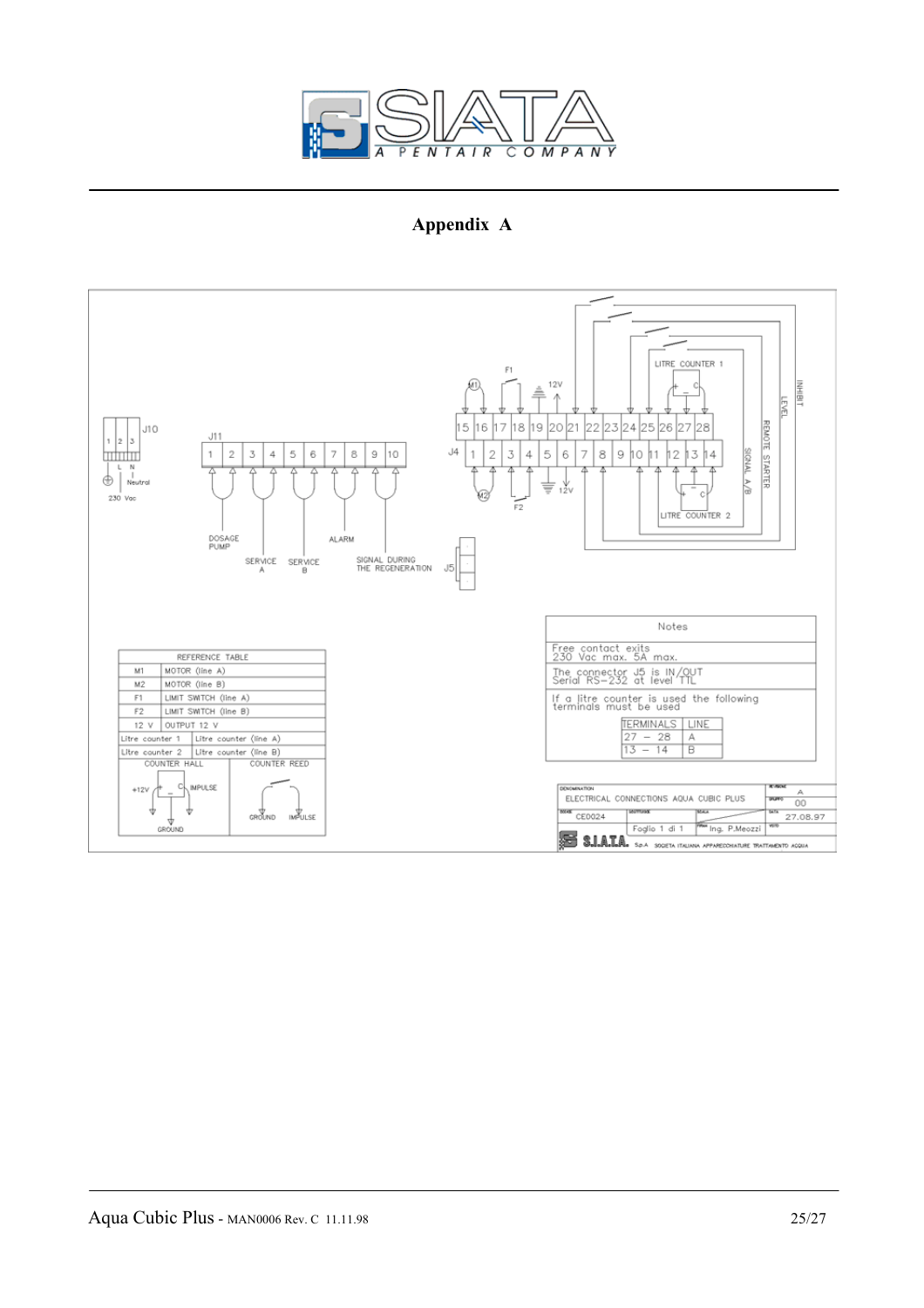

**Appendix A** 

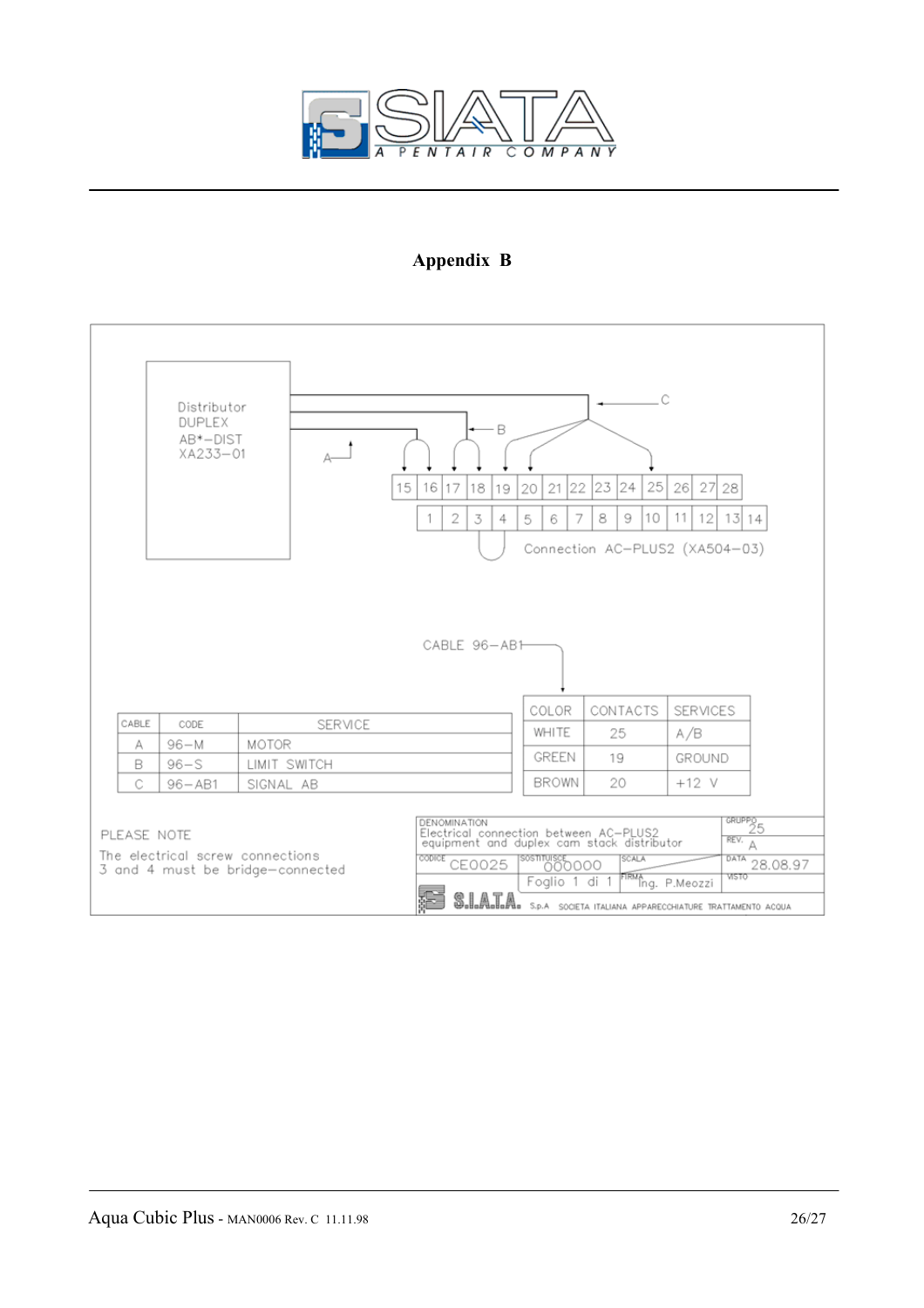

## **Appendix B**